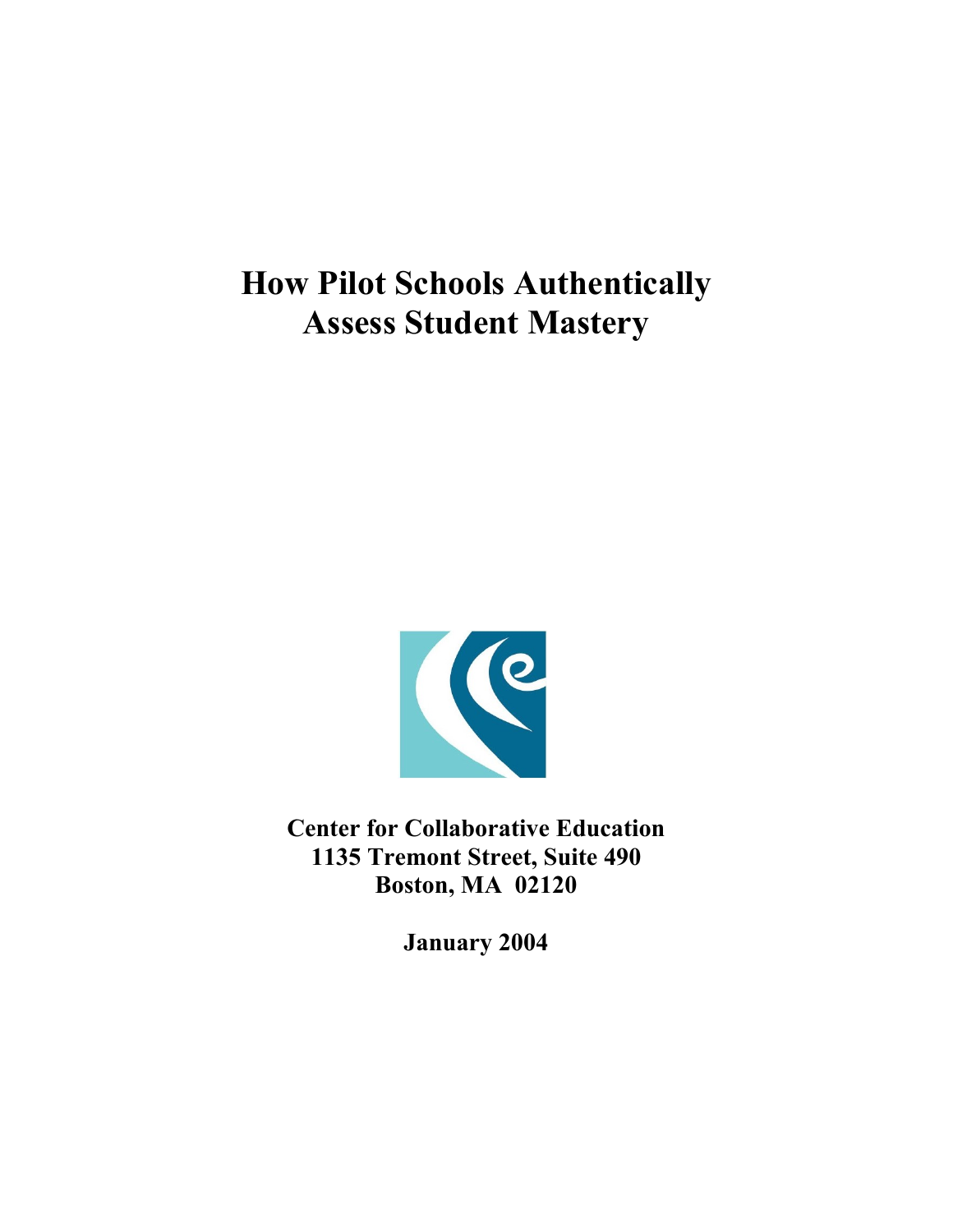

**Center for Collaborative Education 1135 Tremont Street, Suite 490 Boston, MA 02120** 

**January 2004**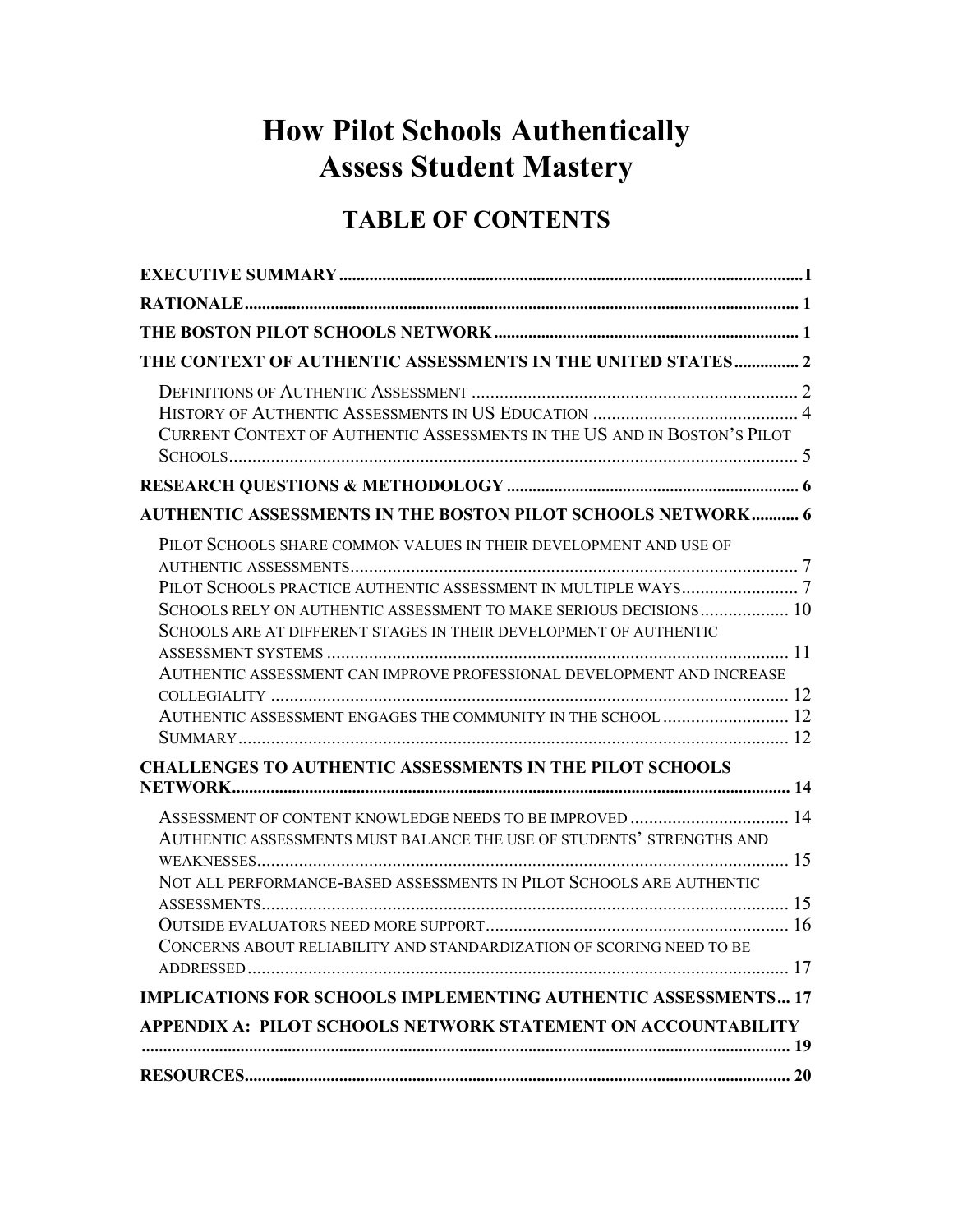# **TABLE OF CONTENTS**

| THE CONTEXT OF AUTHENTIC ASSESSMENTS IN THE UNITED STATES 2              |  |
|--------------------------------------------------------------------------|--|
|                                                                          |  |
|                                                                          |  |
| CURRENT CONTEXT OF AUTHENTIC ASSESSMENTS IN THE US AND IN BOSTON'S PILOT |  |
|                                                                          |  |
| <b>AUTHENTIC ASSESSMENTS IN THE BOSTON PILOT SCHOOLS NETWORK 6</b>       |  |
| PILOT SCHOOLS SHARE COMMON VALUES IN THEIR DEVELOPMENT AND USE OF        |  |
|                                                                          |  |
|                                                                          |  |
| SCHOOLS RELY ON AUTHENTIC ASSESSMENT TO MAKE SERIOUS DECISIONS 10        |  |
| SCHOOLS ARE AT DIFFERENT STAGES IN THEIR DEVELOPMENT OF AUTHENTIC        |  |
| AUTHENTIC ASSESSMENT CAN IMPROVE PROFESSIONAL DEVELOPMENT AND INCREASE   |  |
|                                                                          |  |
| AUTHENTIC ASSESSMENT ENGAGES THE COMMUNITY IN THE SCHOOL  12             |  |
|                                                                          |  |
| <b>CHALLENGES TO AUTHENTIC ASSESSMENTS IN THE PILOT SCHOOLS</b>          |  |
|                                                                          |  |
| ASSESSMENT OF CONTENT KNOWLEDGE NEEDS TO BE IMPROVED  14                 |  |
| AUTHENTIC ASSESSMENTS MUST BALANCE THE USE OF STUDENTS' STRENGTHS AND    |  |
|                                                                          |  |
| NOT ALL PERFORMANCE-BASED ASSESSMENTS IN PILOT SCHOOLS ARE AUTHENTIC     |  |
|                                                                          |  |
|                                                                          |  |
| CONCERNS ABOUT RELIABILITY AND STANDARDIZATION OF SCORING NEED TO BE     |  |
|                                                                          |  |
| <b>IMPLICATIONS FOR SCHOOLS IMPLEMENTING AUTHENTIC ASSESSMENTS 17</b>    |  |
| APPENDIX A: PILOT SCHOOLS NETWORK STATEMENT ON ACCOUNTABILITY            |  |
|                                                                          |  |
|                                                                          |  |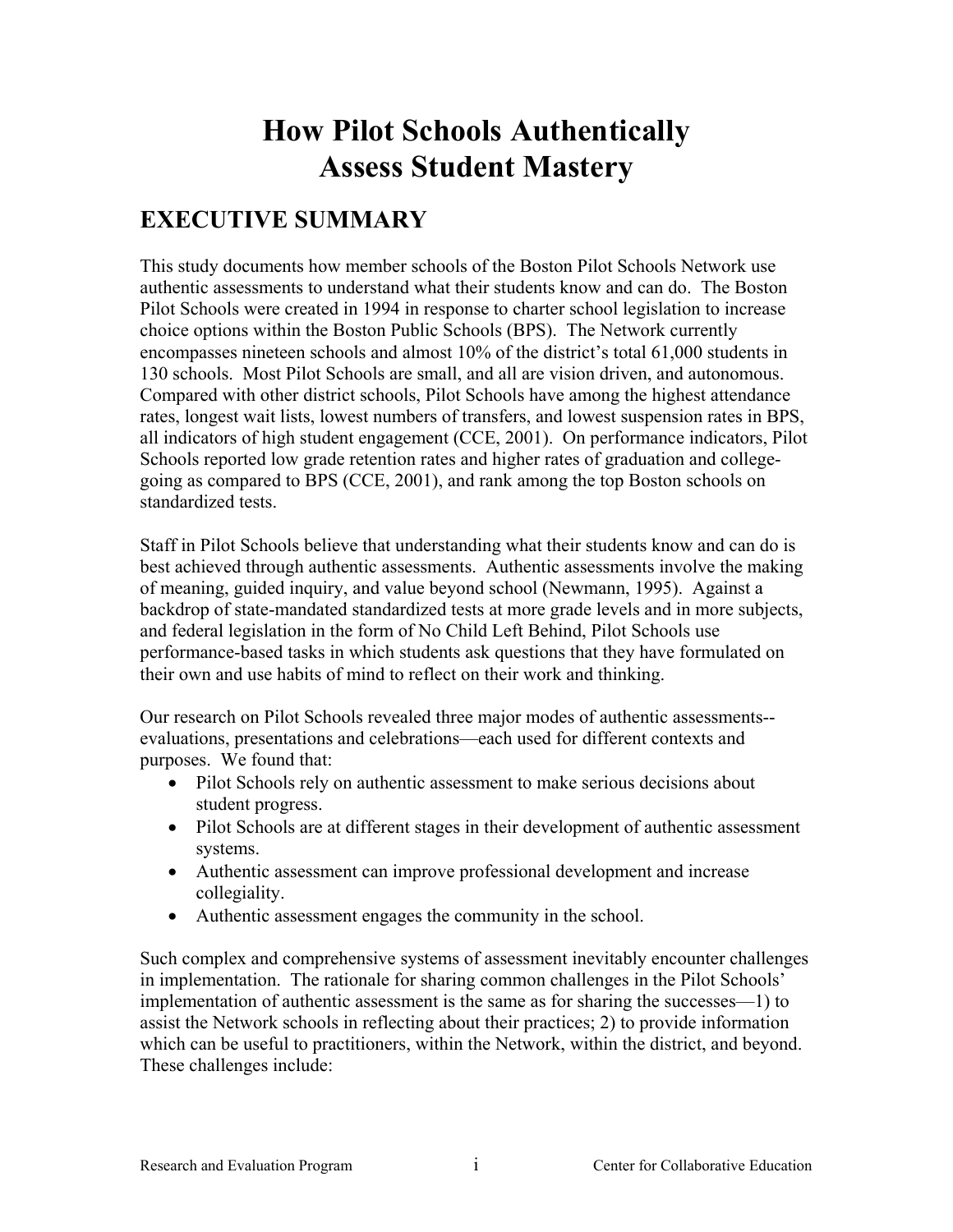# <span id="page-2-0"></span>**EXECUTIVE SUMMARY**

This study documents how member schools of the Boston Pilot Schools Network use authentic assessments to understand what their students know and can do. The Boston Pilot Schools were created in 1994 in response to charter school legislation to increase choice options within the Boston Public Schools (BPS). The Network currently encompasses nineteen schools and almost 10% of the district's total 61,000 students in 130 schools. Most Pilot Schools are small, and all are vision driven, and autonomous. Compared with other district schools, Pilot Schools have among the highest attendance rates, longest wait lists, lowest numbers of transfers, and lowest suspension rates in BPS, all indicators of high student engagement (CCE, 2001). On performance indicators, Pilot Schools reported low grade retention rates and higher rates of graduation and collegegoing as compared to BPS (CCE, 2001), and rank among the top Boston schools on standardized tests.

Staff in Pilot Schools believe that understanding what their students know and can do is best achieved through authentic assessments. Authentic assessments involve the making of meaning, guided inquiry, and value beyond school (Newmann, 1995). Against a backdrop of state-mandated standardized tests at more grade levels and in more subjects, and federal legislation in the form of No Child Left Behind, Pilot Schools use performance-based tasks in which students ask questions that they have formulated on their own and use habits of mind to reflect on their work and thinking.

Our research on Pilot Schools revealed three major modes of authentic assessments- evaluations, presentations and celebrations—each used for different contexts and purposes. We found that:

- Pilot Schools rely on authentic assessment to make serious decisions about student progress.
- Pilot Schools are at different stages in their development of authentic assessment systems.
- Authentic assessment can improve professional development and increase collegiality.
- Authentic assessment engages the community in the school.

Such complex and comprehensive systems of assessment inevitably encounter challenges in implementation. The rationale for sharing common challenges in the Pilot Schools' implementation of authentic assessment is the same as for sharing the successes—1) to assist the Network schools in reflecting about their practices; 2) to provide information which can be useful to practitioners, within the Network, within the district, and beyond. These challenges include: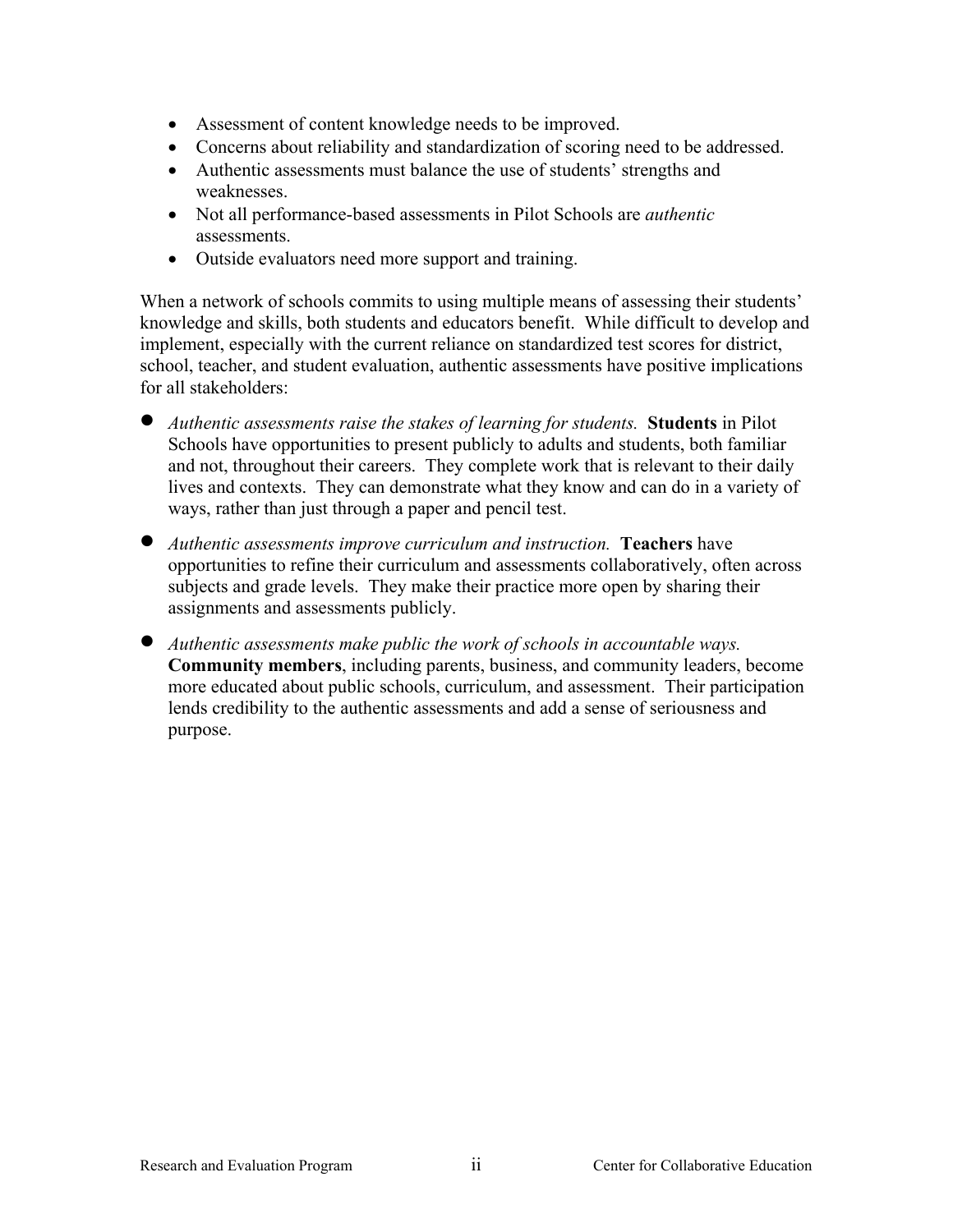- Assessment of content knowledge needs to be improved.
- Concerns about reliability and standardization of scoring need to be addressed.
- Authentic assessments must balance the use of students' strengths and weaknesses.
- Not all performance-based assessments in Pilot Schools are *authentic* assessments.
- Outside evaluators need more support and training.

When a network of schools commits to using multiple means of assessing their students' knowledge and skills, both students and educators benefit. While difficult to develop and implement, especially with the current reliance on standardized test scores for district, school, teacher, and student evaluation, authentic assessments have positive implications for all stakeholders:

- *Authentic assessments raise the stakes of learning for students.* **Students** in Pilot Schools have opportunities to present publicly to adults and students, both familiar and not, throughout their careers. They complete work that is relevant to their daily lives and contexts. They can demonstrate what they know and can do in a variety of ways, rather than just through a paper and pencil test.
- *Authentic assessments improve curriculum and instruction.* **Teachers** have opportunities to refine their curriculum and assessments collaboratively, often across subjects and grade levels. They make their practice more open by sharing their assignments and assessments publicly.
- *Authentic assessments make public the work of schools in accountable ways.*  **Community members**, including parents, business, and community leaders, become more educated about public schools, curriculum, and assessment. Their participation lends credibility to the authentic assessments and add a sense of seriousness and purpose.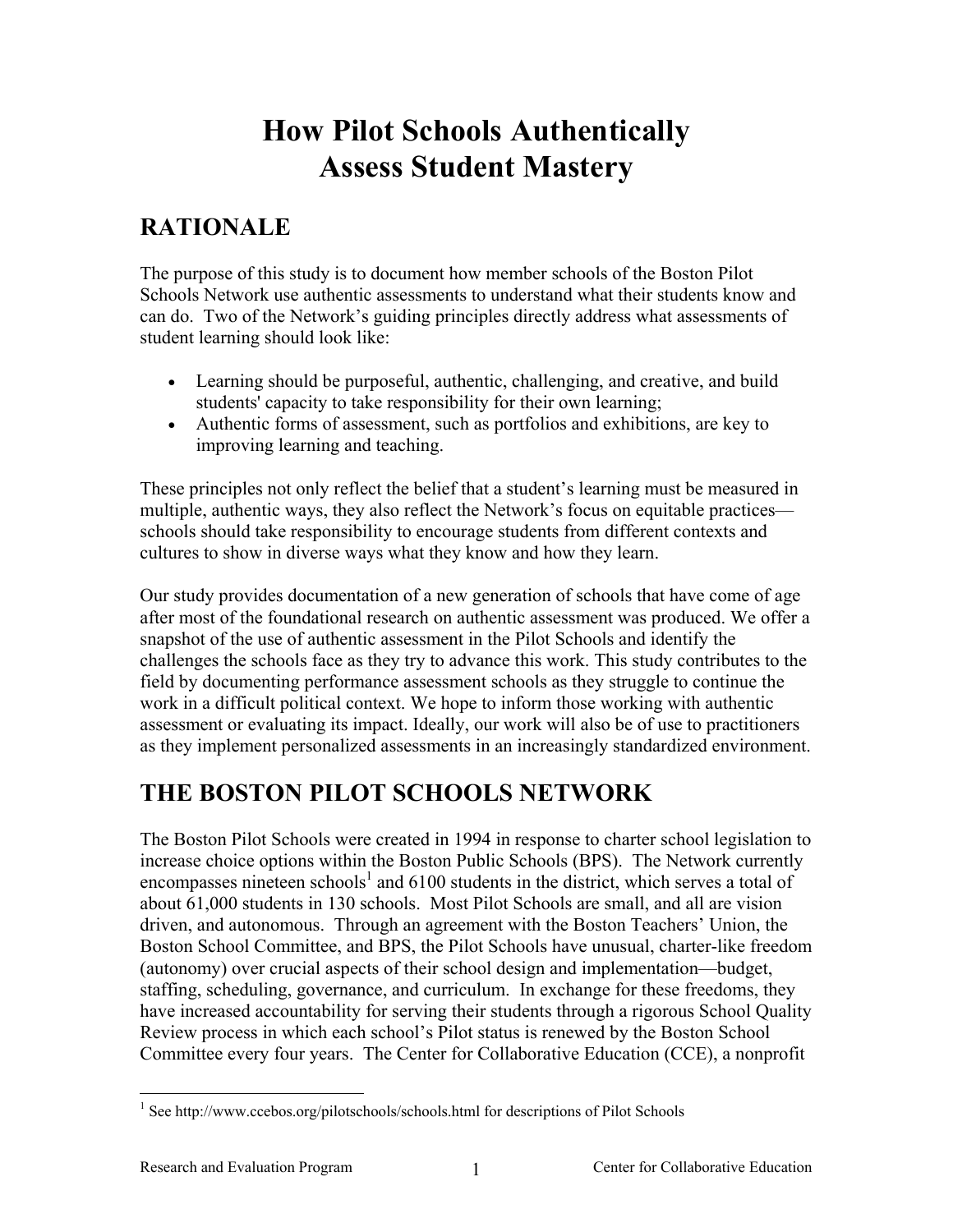# <span id="page-4-0"></span>**RATIONALE**

The purpose of this study is to document how member schools of the Boston Pilot Schools Network use authentic assessments to understand what their students know and can do. Two of the Network's guiding principles directly address what assessments of student learning should look like:

- Learning should be purposeful, authentic, challenging, and creative, and build students' capacity to take responsibility for their own learning;
- Authentic forms of assessment, such as portfolios and exhibitions, are key to improving learning and teaching.

These principles not only reflect the belief that a student's learning must be measured in multiple, authentic ways, they also reflect the Network's focus on equitable practices schools should take responsibility to encourage students from different contexts and cultures to show in diverse ways what they know and how they learn.

Our study provides documentation of a new generation of schools that have come of age after most of the foundational research on authentic assessment was produced. We offer a snapshot of the use of authentic assessment in the Pilot Schools and identify the challenges the schools face as they try to advance this work. This study contributes to the field by documenting performance assessment schools as they struggle to continue the work in a difficult political context. We hope to inform those working with authentic assessment or evaluating its impact. Ideally, our work will also be of use to practitioners as they implement personalized assessments in an increasingly standardized environment.

# **THE BOSTON PILOT SCHOOLS NETWORK**

The Boston Pilot Schools were created in 1994 in response to charter school legislation to increase choice options within the Boston Public Schools (BPS). The Network currently encompasses nineteen schools<sup>[1](#page-4-1)</sup> and 6100 students in the district, which serves a total of about 61,000 students in 130 schools. Most Pilot Schools are small, and all are vision driven, and autonomous. Through an agreement with the Boston Teachers' Union, the Boston School Committee, and BPS, the Pilot Schools have unusual, charter-like freedom (autonomy) over crucial aspects of their school design and implementation—budget, staffing, scheduling, governance, and curriculum. In exchange for these freedoms, they have increased accountability for serving their students through a rigorous School Quality Review process in which each school's Pilot status is renewed by the Boston School Committee every four years. The Center for Collaborative Education (CCE), a nonprofit

 $\overline{a}$ 

<span id="page-4-1"></span><sup>&</sup>lt;sup>1</sup> See http://www.ccebos.org/pilotschools/schools.html for descriptions of Pilot Schools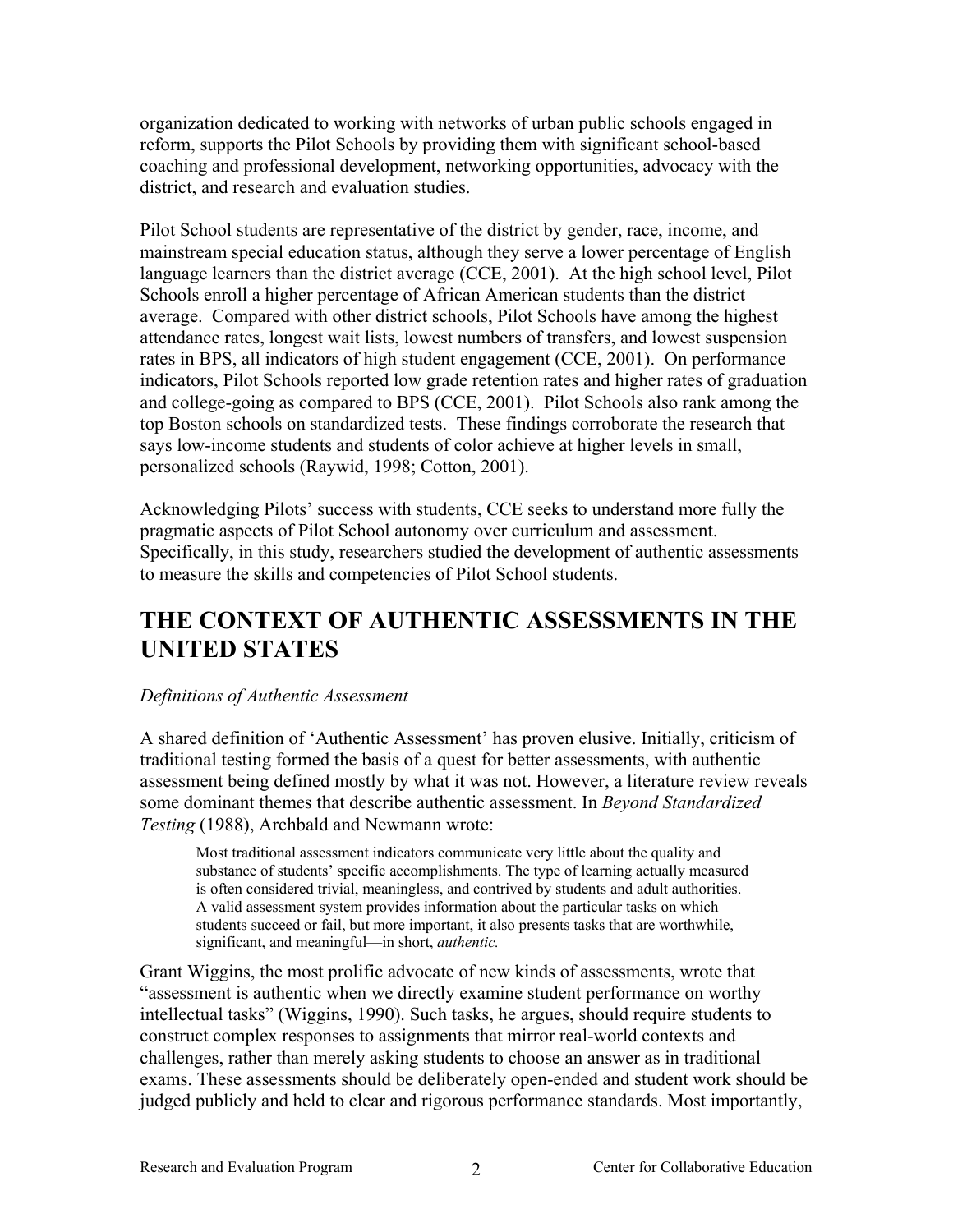<span id="page-5-0"></span>organization dedicated to working with networks of urban public schools engaged in reform, supports the Pilot Schools by providing them with significant school-based coaching and professional development, networking opportunities, advocacy with the district, and research and evaluation studies.

Pilot School students are representative of the district by gender, race, income, and mainstream special education status, although they serve a lower percentage of English language learners than the district average (CCE, 2001). At the high school level, Pilot Schools enroll a higher percentage of African American students than the district average. Compared with other district schools, Pilot Schools have among the highest attendance rates, longest wait lists, lowest numbers of transfers, and lowest suspension rates in BPS, all indicators of high student engagement (CCE, 2001). On performance indicators, Pilot Schools reported low grade retention rates and higher rates of graduation and college-going as compared to BPS (CCE, 2001). Pilot Schools also rank among the top Boston schools on standardized tests. These findings corroborate the research that says low-income students and students of color achieve at higher levels in small, personalized schools (Raywid, 1998; Cotton, 2001).

Acknowledging Pilots' success with students, CCE seeks to understand more fully the pragmatic aspects of Pilot School autonomy over curriculum and assessment. Specifically, in this study, researchers studied the development of authentic assessments to measure the skills and competencies of Pilot School students.

# **THE CONTEXT OF AUTHENTIC ASSESSMENTS IN THE UNITED STATES**

### *Definitions of Authentic Assessment*

A shared definition of 'Authentic Assessment' has proven elusive. Initially, criticism of traditional testing formed the basis of a quest for better assessments, with authentic assessment being defined mostly by what it was not. However, a literature review reveals some dominant themes that describe authentic assessment. In *Beyond Standardized Testing* (1988), Archbald and Newmann wrote:

Most traditional assessment indicators communicate very little about the quality and substance of students' specific accomplishments. The type of learning actually measured is often considered trivial, meaningless, and contrived by students and adult authorities. A valid assessment system provides information about the particular tasks on which students succeed or fail, but more important, it also presents tasks that are worthwhile, significant, and meaningful—in short, *authentic.*

Grant Wiggins, the most prolific advocate of new kinds of assessments, wrote that "assessment is authentic when we directly examine student performance on worthy intellectual tasks" (Wiggins, 1990). Such tasks, he argues, should require students to construct complex responses to assignments that mirror real-world contexts and challenges, rather than merely asking students to choose an answer as in traditional exams. These assessments should be deliberately open-ended and student work should be judged publicly and held to clear and rigorous performance standards. Most importantly,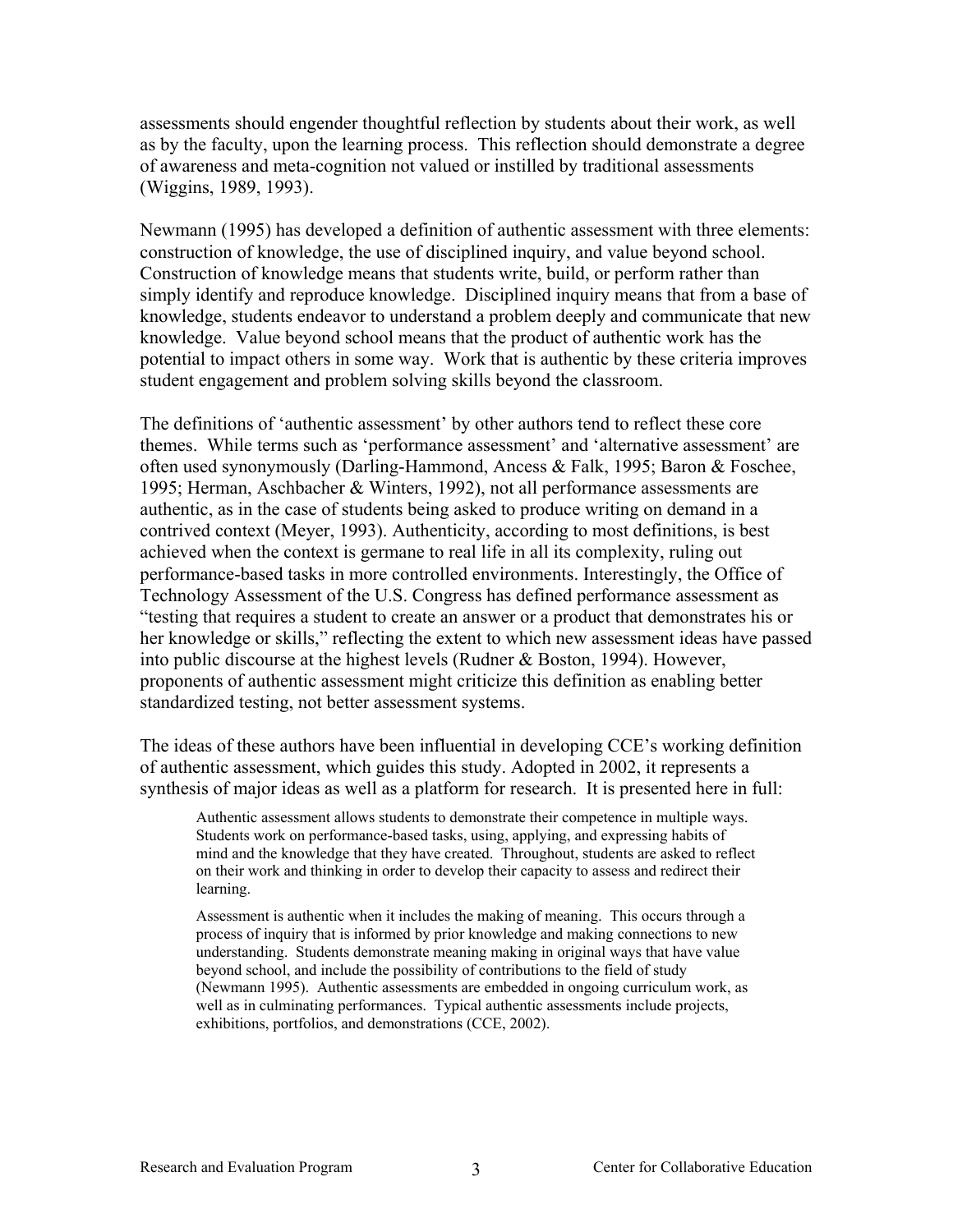assessments should engender thoughtful reflection by students about their work, as well as by the faculty, upon the learning process. This reflection should demonstrate a degree of awareness and meta-cognition not valued or instilled by traditional assessments (Wiggins, 1989, 1993).

Newmann (1995) has developed a definition of authentic assessment with three elements: construction of knowledge, the use of disciplined inquiry, and value beyond school. Construction of knowledge means that students write, build, or perform rather than simply identify and reproduce knowledge. Disciplined inquiry means that from a base of knowledge, students endeavor to understand a problem deeply and communicate that new knowledge. Value beyond school means that the product of authentic work has the potential to impact others in some way. Work that is authentic by these criteria improves student engagement and problem solving skills beyond the classroom.

The definitions of 'authentic assessment' by other authors tend to reflect these core themes. While terms such as 'performance assessment' and 'alternative assessment' are often used synonymously (Darling-Hammond, Ancess & Falk, 1995; Baron & Foschee, 1995; Herman, Aschbacher & Winters, 1992), not all performance assessments are authentic, as in the case of students being asked to produce writing on demand in a contrived context (Meyer, 1993). Authenticity, according to most definitions, is best achieved when the context is germane to real life in all its complexity, ruling out performance-based tasks in more controlled environments. Interestingly, the Office of Technology Assessment of the U.S. Congress has defined performance assessment as "testing that requires a student to create an answer or a product that demonstrates his or her knowledge or skills," reflecting the extent to which new assessment ideas have passed into public discourse at the highest levels (Rudner & Boston, 1994). However, proponents of authentic assessment might criticize this definition as enabling better standardized testing, not better assessment systems.

The ideas of these authors have been influential in developing CCE's working definition of authentic assessment, which guides this study. Adopted in 2002, it represents a synthesis of major ideas as well as a platform for research. It is presented here in full:

Authentic assessment allows students to demonstrate their competence in multiple ways. Students work on performance-based tasks, using, applying, and expressing habits of mind and the knowledge that they have created. Throughout, students are asked to reflect on their work and thinking in order to develop their capacity to assess and redirect their learning.

Assessment is authentic when it includes the making of meaning. This occurs through a process of inquiry that is informed by prior knowledge and making connections to new understanding. Students demonstrate meaning making in original ways that have value beyond school, and include the possibility of contributions to the field of study (Newmann 1995). Authentic assessments are embedded in ongoing curriculum work, as well as in culminating performances. Typical authentic assessments include projects, exhibitions, portfolios, and demonstrations (CCE, 2002).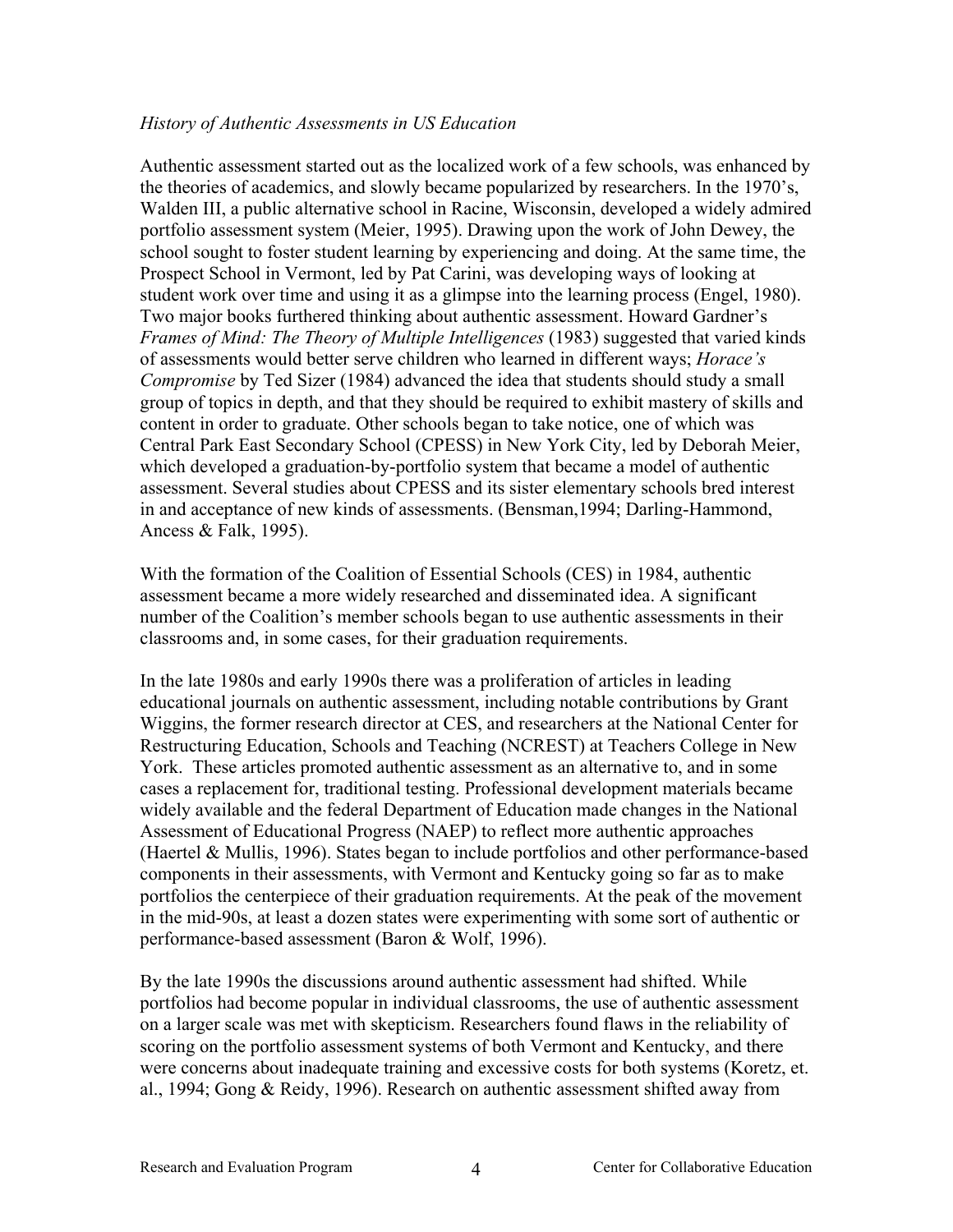## <span id="page-7-0"></span>*History of Authentic Assessments in US Education*

Authentic assessment started out as the localized work of a few schools, was enhanced by the theories of academics, and slowly became popularized by researchers. In the 1970's, Walden III, a public alternative school in Racine, Wisconsin, developed a widely admired portfolio assessment system (Meier, 1995). Drawing upon the work of John Dewey, the school sought to foster student learning by experiencing and doing. At the same time, the Prospect School in Vermont, led by Pat Carini, was developing ways of looking at student work over time and using it as a glimpse into the learning process (Engel, 1980). Two major books furthered thinking about authentic assessment. Howard Gardner's *Frames of Mind: The Theory of Multiple Intelligences* (1983) suggested that varied kinds of assessments would better serve children who learned in different ways; *Horace's Compromise* by Ted Sizer (1984) advanced the idea that students should study a small group of topics in depth, and that they should be required to exhibit mastery of skills and content in order to graduate. Other schools began to take notice, one of which was Central Park East Secondary School (CPESS) in New York City, led by Deborah Meier, which developed a graduation-by-portfolio system that became a model of authentic assessment. Several studies about CPESS and its sister elementary schools bred interest in and acceptance of new kinds of assessments. (Bensman,1994; Darling-Hammond, Ancess & Falk, 1995).

With the formation of the Coalition of Essential Schools (CES) in 1984, authentic assessment became a more widely researched and disseminated idea. A significant number of the Coalition's member schools began to use authentic assessments in their classrooms and, in some cases, for their graduation requirements.

In the late 1980s and early 1990s there was a proliferation of articles in leading educational journals on authentic assessment, including notable contributions by Grant Wiggins, the former research director at CES, and researchers at the National Center for Restructuring Education, Schools and Teaching (NCREST) at Teachers College in New York. These articles promoted authentic assessment as an alternative to, and in some cases a replacement for, traditional testing. Professional development materials became widely available and the federal Department of Education made changes in the National Assessment of Educational Progress (NAEP) to reflect more authentic approaches (Haertel & Mullis, 1996). States began to include portfolios and other performance-based components in their assessments, with Vermont and Kentucky going so far as to make portfolios the centerpiece of their graduation requirements. At the peak of the movement in the mid-90s, at least a dozen states were experimenting with some sort of authentic or performance-based assessment (Baron & Wolf, 1996).

By the late 1990s the discussions around authentic assessment had shifted. While portfolios had become popular in individual classrooms, the use of authentic assessment on a larger scale was met with skepticism. Researchers found flaws in the reliability of scoring on the portfolio assessment systems of both Vermont and Kentucky, and there were concerns about inadequate training and excessive costs for both systems (Koretz, et. al., 1994; Gong & Reidy, 1996). Research on authentic assessment shifted away from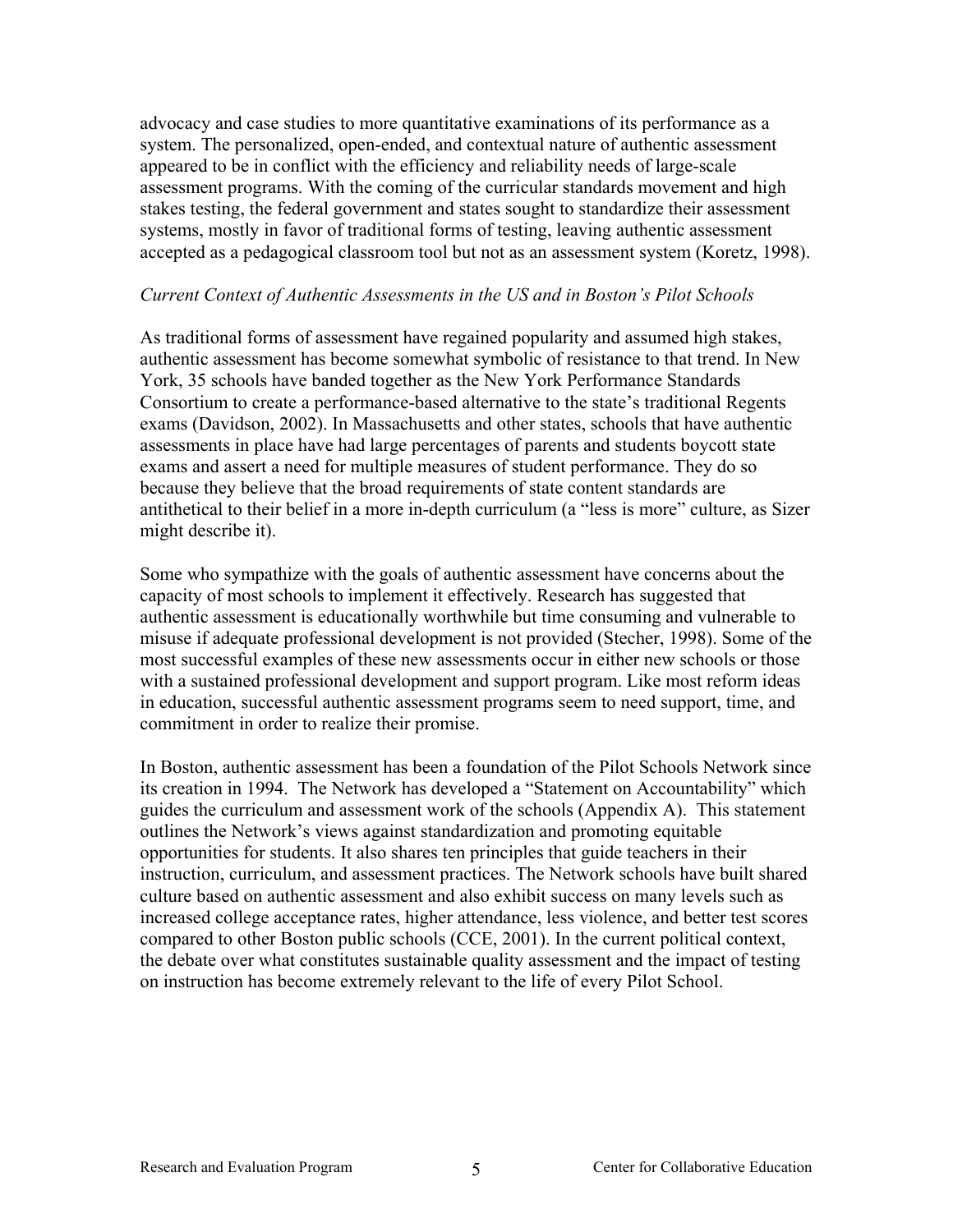<span id="page-8-0"></span>advocacy and case studies to more quantitative examinations of its performance as a system. The personalized, open-ended, and contextual nature of authentic assessment appeared to be in conflict with the efficiency and reliability needs of large-scale assessment programs. With the coming of the curricular standards movement and high stakes testing, the federal government and states sought to standardize their assessment systems, mostly in favor of traditional forms of testing, leaving authentic assessment accepted as a pedagogical classroom tool but not as an assessment system (Koretz, 1998).

#### *Current Context of Authentic Assessments in the US and in Boston's Pilot Schools*

As traditional forms of assessment have regained popularity and assumed high stakes, authentic assessment has become somewhat symbolic of resistance to that trend. In New York, 35 schools have banded together as the New York Performance Standards Consortium to create a performance-based alternative to the state's traditional Regents exams (Davidson, 2002). In Massachusetts and other states, schools that have authentic assessments in place have had large percentages of parents and students boycott state exams and assert a need for multiple measures of student performance. They do so because they believe that the broad requirements of state content standards are antithetical to their belief in a more in-depth curriculum (a "less is more" culture, as Sizer might describe it).

Some who sympathize with the goals of authentic assessment have concerns about the capacity of most schools to implement it effectively. Research has suggested that authentic assessment is educationally worthwhile but time consuming and vulnerable to misuse if adequate professional development is not provided (Stecher, 1998). Some of the most successful examples of these new assessments occur in either new schools or those with a sustained professional development and support program. Like most reform ideas in education, successful authentic assessment programs seem to need support, time, and commitment in order to realize their promise.

In Boston, authentic assessment has been a foundation of the Pilot Schools Network since its creation in 1994. The Network has developed a "Statement on Accountability" which guides the curriculum and assessment work of the schools (Appendix A). This statement outlines the Network's views against standardization and promoting equitable opportunities for students. It also shares ten principles that guide teachers in their instruction, curriculum, and assessment practices. The Network schools have built shared culture based on authentic assessment and also exhibit success on many levels such as increased college acceptance rates, higher attendance, less violence, and better test scores compared to other Boston public schools (CCE, 2001). In the current political context, the debate over what constitutes sustainable quality assessment and the impact of testing on instruction has become extremely relevant to the life of every Pilot School.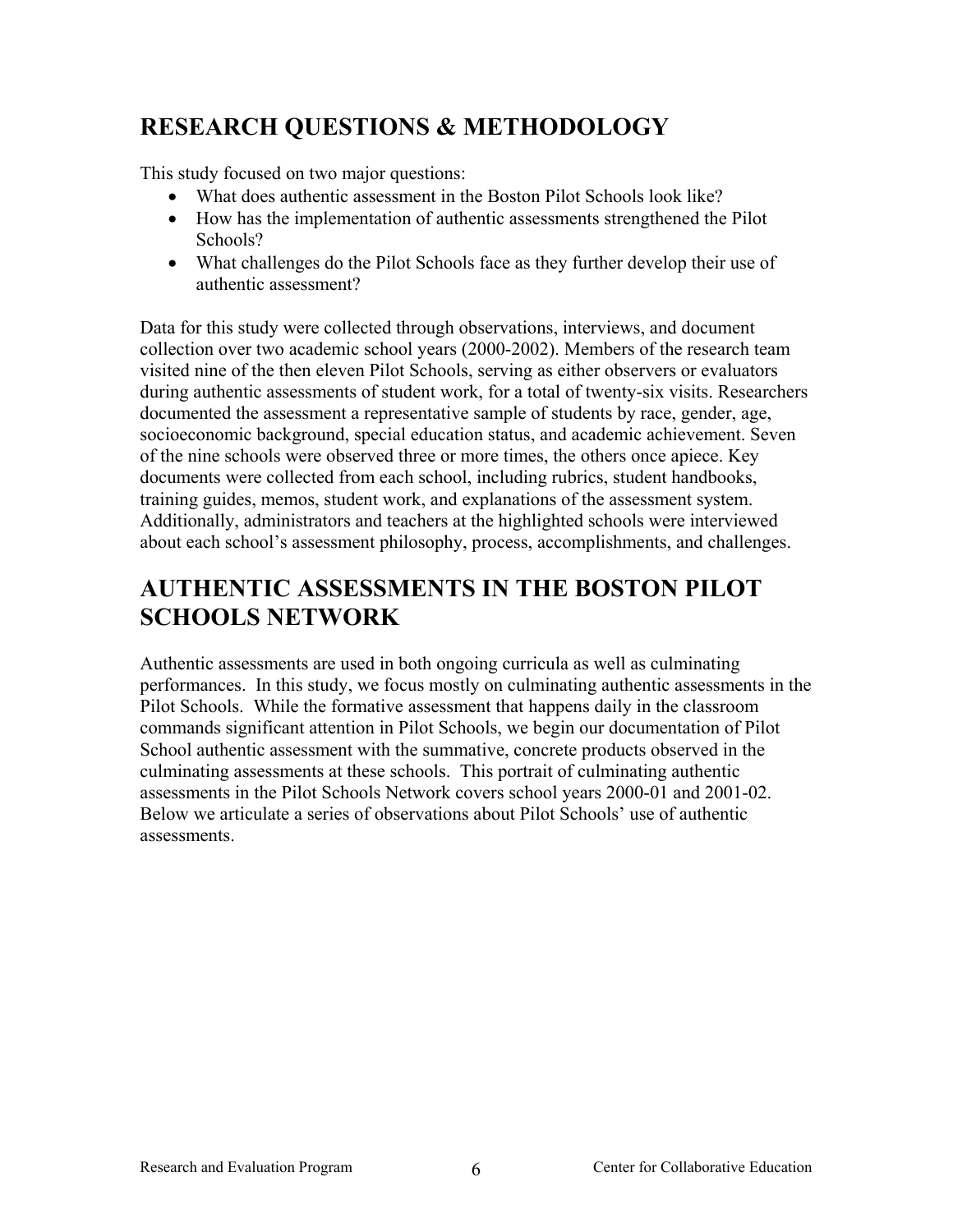# <span id="page-9-0"></span>**RESEARCH QUESTIONS & METHODOLOGY**

This study focused on two major questions:

- What does authentic assessment in the Boston Pilot Schools look like?
- How has the implementation of authentic assessments strengthened the Pilot Schools?
- What challenges do the Pilot Schools face as they further develop their use of authentic assessment?

Data for this study were collected through observations, interviews, and document collection over two academic school years (2000-2002). Members of the research team visited nine of the then eleven Pilot Schools, serving as either observers or evaluators during authentic assessments of student work, for a total of twenty-six visits. Researchers documented the assessment a representative sample of students by race, gender, age, socioeconomic background, special education status, and academic achievement. Seven of the nine schools were observed three or more times, the others once apiece. Key documents were collected from each school, including rubrics, student handbooks, training guides, memos, student work, and explanations of the assessment system. Additionally, administrators and teachers at the highlighted schools were interviewed about each school's assessment philosophy, process, accomplishments, and challenges.

# **AUTHENTIC ASSESSMENTS IN THE BOSTON PILOT SCHOOLS NETWORK**

Authentic assessments are used in both ongoing curricula as well as culminating performances. In this study, we focus mostly on culminating authentic assessments in the Pilot Schools. While the formative assessment that happens daily in the classroom commands significant attention in Pilot Schools, we begin our documentation of Pilot School authentic assessment with the summative, concrete products observed in the culminating assessments at these schools. This portrait of culminating authentic assessments in the Pilot Schools Network covers school years 2000-01 and 2001-02. Below we articulate a series of observations about Pilot Schools' use of authentic assessments.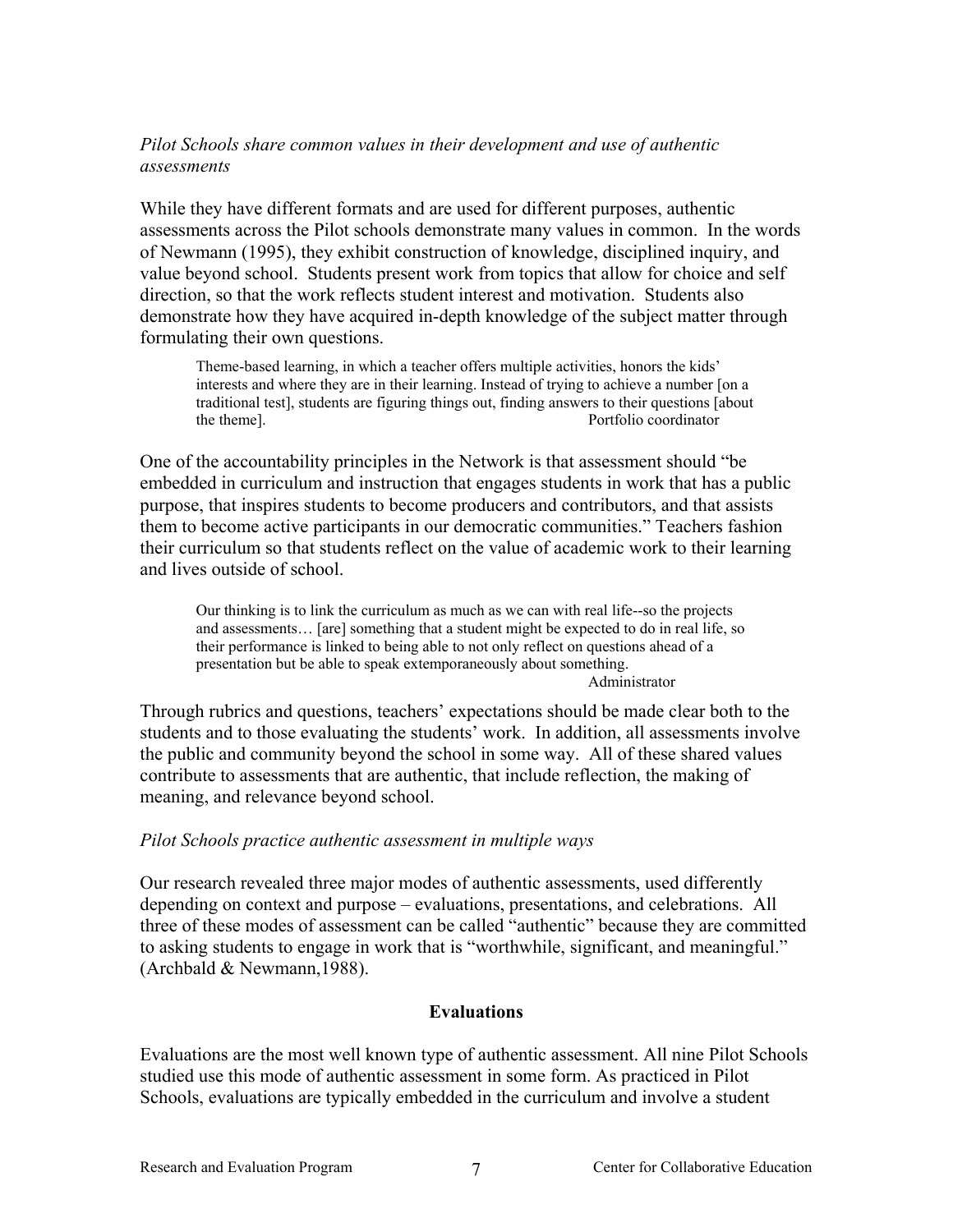## <span id="page-10-0"></span>*Pilot Schools share common values in their development and use of authentic assessments*

While they have different formats and are used for different purposes, authentic assessments across the Pilot schools demonstrate many values in common. In the words of Newmann (1995), they exhibit construction of knowledge, disciplined inquiry, and value beyond school. Students present work from topics that allow for choice and self direction, so that the work reflects student interest and motivation. Students also demonstrate how they have acquired in-depth knowledge of the subject matter through formulating their own questions.

Theme-based learning, in which a teacher offers multiple activities, honors the kids' interests and where they are in their learning. Instead of trying to achieve a number [on a traditional test], students are figuring things out, finding answers to their questions [about the theme]. Portfolio coordinator

One of the accountability principles in the Network is that assessment should "be embedded in curriculum and instruction that engages students in work that has a public purpose, that inspires students to become producers and contributors, and that assists them to become active participants in our democratic communities." Teachers fashion their curriculum so that students reflect on the value of academic work to their learning and lives outside of school.

Our thinking is to link the curriculum as much as we can with real life--so the projects and assessments… [are] something that a student might be expected to do in real life, so their performance is linked to being able to not only reflect on questions ahead of a presentation but be able to speak extemporaneously about something. Administrator

Through rubrics and questions, teachers' expectations should be made clear both to the students and to those evaluating the students' work. In addition, all assessments involve the public and community beyond the school in some way. All of these shared values contribute to assessments that are authentic, that include reflection, the making of meaning, and relevance beyond school.

### *Pilot Schools practice authentic assessment in multiple ways*

Our research revealed three major modes of authentic assessments, used differently depending on context and purpose – evaluations, presentations, and celebrations. All three of these modes of assessment can be called "authentic" because they are committed to asking students to engage in work that is "worthwhile, significant, and meaningful." (Archbald & Newmann,1988).

### **Evaluations**

Evaluations are the most well known type of authentic assessment. All nine Pilot Schools studied use this mode of authentic assessment in some form. As practiced in Pilot Schools, evaluations are typically embedded in the curriculum and involve a student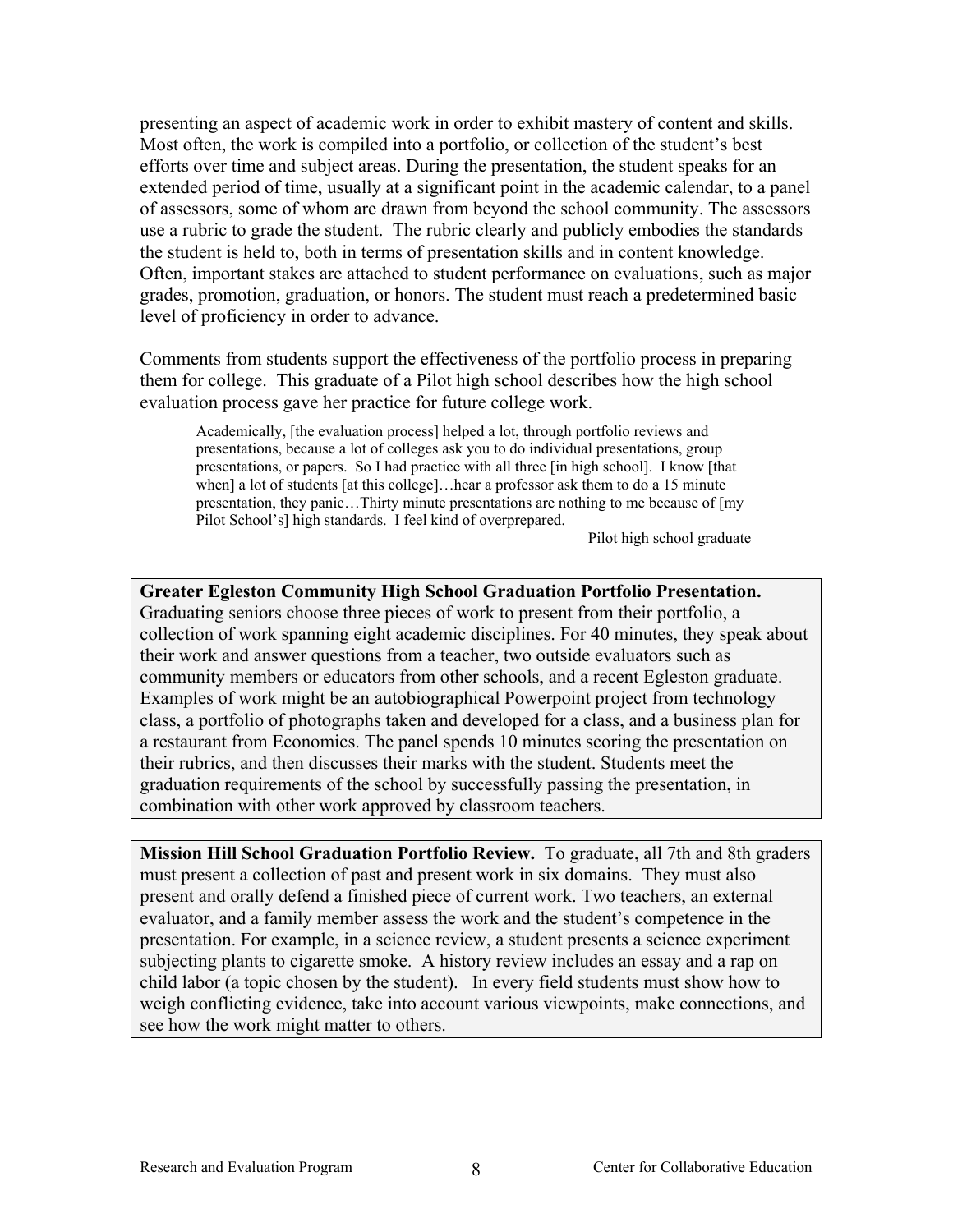presenting an aspect of academic work in order to exhibit mastery of content and skills. Most often, the work is compiled into a portfolio, or collection of the student's best efforts over time and subject areas. During the presentation, the student speaks for an extended period of time, usually at a significant point in the academic calendar, to a panel of assessors, some of whom are drawn from beyond the school community. The assessors use a rubric to grade the student. The rubric clearly and publicly embodies the standards the student is held to, both in terms of presentation skills and in content knowledge. Often, important stakes are attached to student performance on evaluations, such as major grades, promotion, graduation, or honors. The student must reach a predetermined basic level of proficiency in order to advance.

Comments from students support the effectiveness of the portfolio process in preparing them for college. This graduate of a Pilot high school describes how the high school evaluation process gave her practice for future college work.

Academically, [the evaluation process] helped a lot, through portfolio reviews and presentations, because a lot of colleges ask you to do individual presentations, group presentations, or papers. So I had practice with all three [in high school]. I know [that when] a lot of students [at this college]…hear a professor ask them to do a 15 minute presentation, they panic…Thirty minute presentations are nothing to me because of [my Pilot School's] high standards. I feel kind of overprepared.

Pilot high school graduate

**Greater Egleston Community High School Graduation Portfolio Presentation.**  Graduating seniors choose three pieces of work to present from their portfolio, a collection of work spanning eight academic disciplines. For 40 minutes, they speak about their work and answer questions from a teacher, two outside evaluators such as community members or educators from other schools, and a recent Egleston graduate. Examples of work might be an autobiographical Powerpoint project from technology class, a portfolio of photographs taken and developed for a class, and a business plan for a restaurant from Economics. The panel spends 10 minutes scoring the presentation on their rubrics, and then discusses their marks with the student. Students meet the graduation requirements of the school by successfully passing the presentation, in combination with other work approved by classroom teachers.

**Mission Hill School Graduation Portfolio Review.** To graduate, all 7th and 8th graders must present a collection of past and present work in six domains. They must also present and orally defend a finished piece of current work. Two teachers, an external evaluator, and a family member assess the work and the student's competence in the presentation. For example, in a science review, a student presents a science experiment subjecting plants to cigarette smoke. A history review includes an essay and a rap on child labor (a topic chosen by the student). In every field students must show how to weigh conflicting evidence, take into account various viewpoints, make connections, and see how the work might matter to others.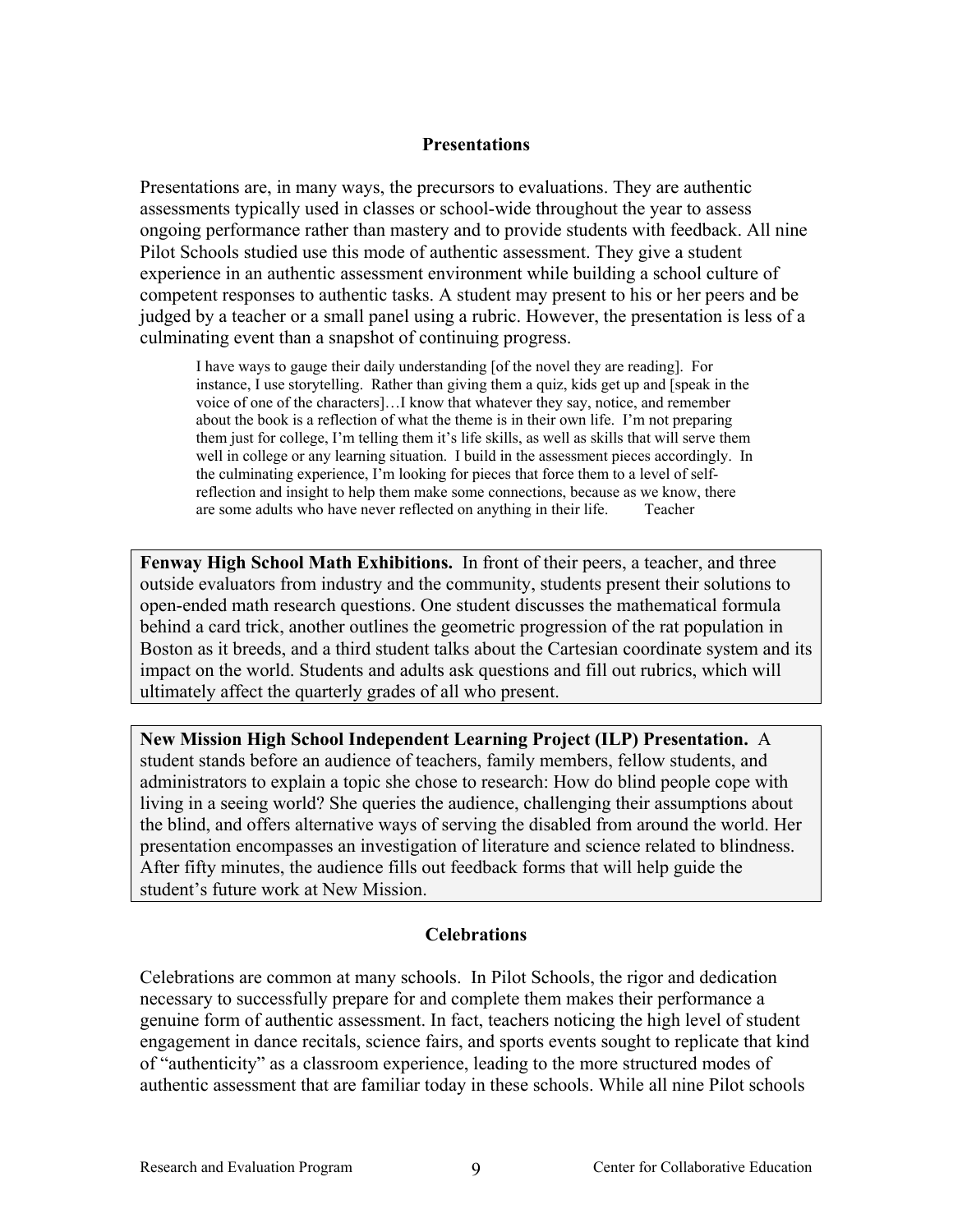### **Presentations**

Presentations are, in many ways, the precursors to evaluations. They are authentic assessments typically used in classes or school-wide throughout the year to assess ongoing performance rather than mastery and to provide students with feedback. All nine Pilot Schools studied use this mode of authentic assessment. They give a student experience in an authentic assessment environment while building a school culture of competent responses to authentic tasks. A student may present to his or her peers and be judged by a teacher or a small panel using a rubric. However, the presentation is less of a culminating event than a snapshot of continuing progress.

I have ways to gauge their daily understanding [of the novel they are reading]. For instance, I use storytelling. Rather than giving them a quiz, kids get up and [speak in the voice of one of the characters]…I know that whatever they say, notice, and remember about the book is a reflection of what the theme is in their own life. I'm not preparing them just for college, I'm telling them it's life skills, as well as skills that will serve them well in college or any learning situation. I build in the assessment pieces accordingly. In the culminating experience, I'm looking for pieces that force them to a level of selfreflection and insight to help them make some connections, because as we know, there are some adults who have never reflected on anything in their life. Teacher

**Fenway High School Math Exhibitions.** In front of their peers, a teacher, and three outside evaluators from industry and the community, students present their solutions to open-ended math research questions. One student discusses the mathematical formula behind a card trick, another outlines the geometric progression of the rat population in Boston as it breeds, and a third student talks about the Cartesian coordinate system and its impact on the world. Students and adults ask questions and fill out rubrics, which will ultimately affect the quarterly grades of all who present.

**New Mission High School Independent Learning Project (ILP) Presentation.** A student stands before an audience of teachers, family members, fellow students, and administrators to explain a topic she chose to research: How do blind people cope with living in a seeing world? She queries the audience, challenging their assumptions about the blind, and offers alternative ways of serving the disabled from around the world. Her presentation encompasses an investigation of literature and science related to blindness. After fifty minutes, the audience fills out feedback forms that will help guide the student's future work at New Mission.

### **Celebrations**

Celebrations are common at many schools. In Pilot Schools, the rigor and dedication necessary to successfully prepare for and complete them makes their performance a genuine form of authentic assessment. In fact, teachers noticing the high level of student engagement in dance recitals, science fairs, and sports events sought to replicate that kind of "authenticity" as a classroom experience, leading to the more structured modes of authentic assessment that are familiar today in these schools. While all nine Pilot schools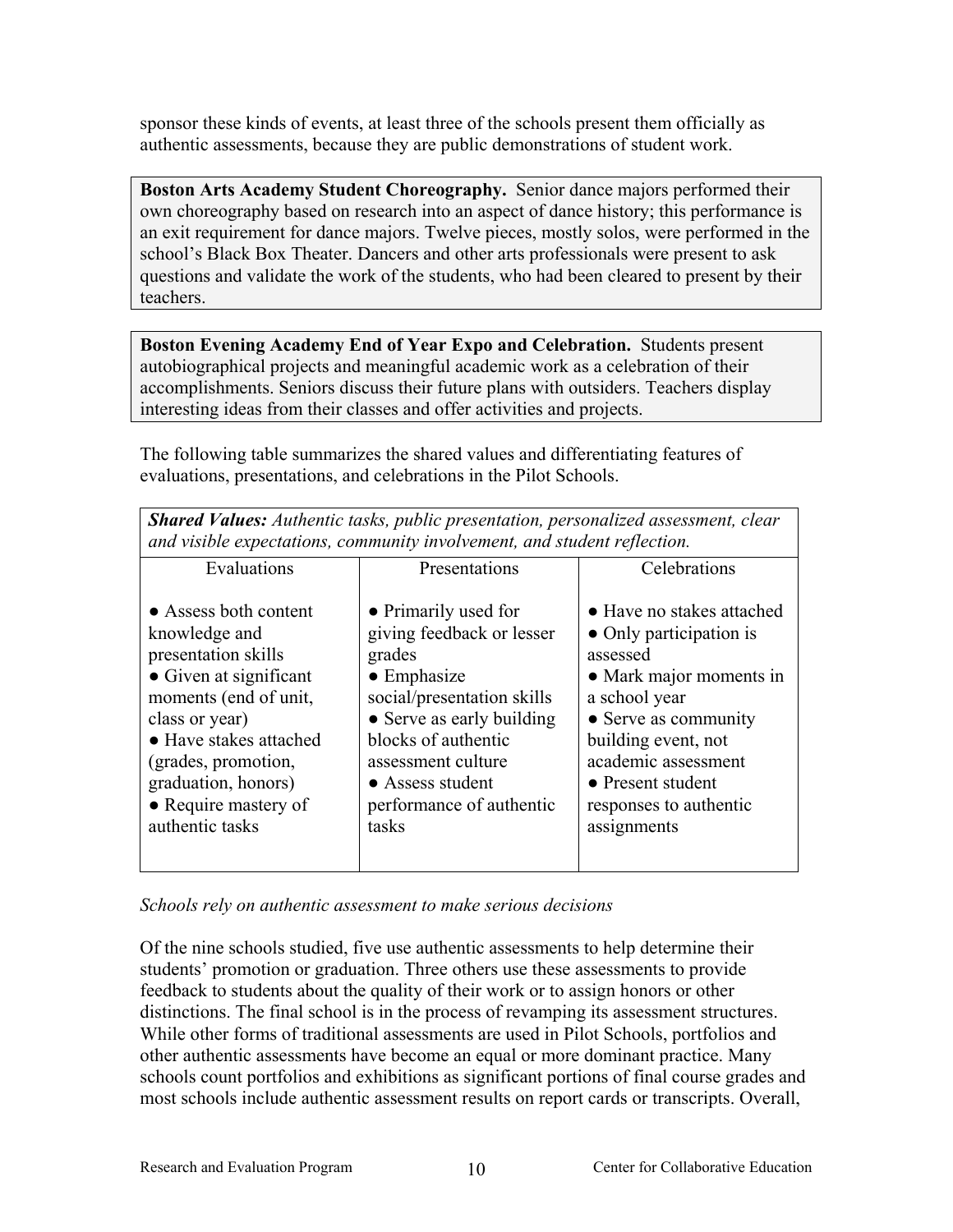<span id="page-13-0"></span>sponsor these kinds of events, at least three of the schools present them officially as authentic assessments, because they are public demonstrations of student work.

**Boston Arts Academy Student Choreography.** Senior dance majors performed their own choreography based on research into an aspect of dance history; this performance is an exit requirement for dance majors. Twelve pieces, mostly solos, were performed in the school's Black Box Theater. Dancers and other arts professionals were present to ask questions and validate the work of the students, who had been cleared to present by their teachers.

**Boston Evening Academy End of Year Expo and Celebration.** Students present autobiographical projects and meaningful academic work as a celebration of their accomplishments. Seniors discuss their future plans with outsiders. Teachers display interesting ideas from their classes and offer activities and projects.

The following table summarizes the shared values and differentiating features of evaluations, presentations, and celebrations in the Pilot Schools.

| and visible expectations, community involvement, and student reflection.                                                                                                                                                                              |                                                                                                                                                                                                                                                     |                                                                                                                                                                                                                                                          |  |
|-------------------------------------------------------------------------------------------------------------------------------------------------------------------------------------------------------------------------------------------------------|-----------------------------------------------------------------------------------------------------------------------------------------------------------------------------------------------------------------------------------------------------|----------------------------------------------------------------------------------------------------------------------------------------------------------------------------------------------------------------------------------------------------------|--|
| Evaluations                                                                                                                                                                                                                                           | Presentations                                                                                                                                                                                                                                       | Celebrations                                                                                                                                                                                                                                             |  |
| • Assess both content<br>knowledge and<br>presentation skills<br>• Given at significant<br>moments (end of unit,<br>class or year)<br>• Have stakes attached<br>(grades, promotion,<br>graduation, honors)<br>• Require mastery of<br>authentic tasks | • Primarily used for<br>giving feedback or lesser<br>grades<br>$\bullet$ Emphasize<br>social/presentation skills<br>• Serve as early building<br>blocks of authentic<br>assessment culture<br>• Assess student<br>performance of authentic<br>tasks | • Have no stakes attached<br>• Only participation is<br>assessed<br>• Mark major moments in<br>a school year<br>• Serve as community<br>building event, not<br>academic assessment<br>$\bullet$ Present student<br>responses to authentic<br>assignments |  |

*Shared Values: Authentic tasks, public presentation, personalized assessment, clear* 

*Schools rely on authentic assessment to make serious decisions* 

Of the nine schools studied, five use authentic assessments to help determine their students' promotion or graduation. Three others use these assessments to provide feedback to students about the quality of their work or to assign honors or other distinctions. The final school is in the process of revamping its assessment structures. While other forms of traditional assessments are used in Pilot Schools, portfolios and other authentic assessments have become an equal or more dominant practice. Many schools count portfolios and exhibitions as significant portions of final course grades and most schools include authentic assessment results on report cards or transcripts. Overall,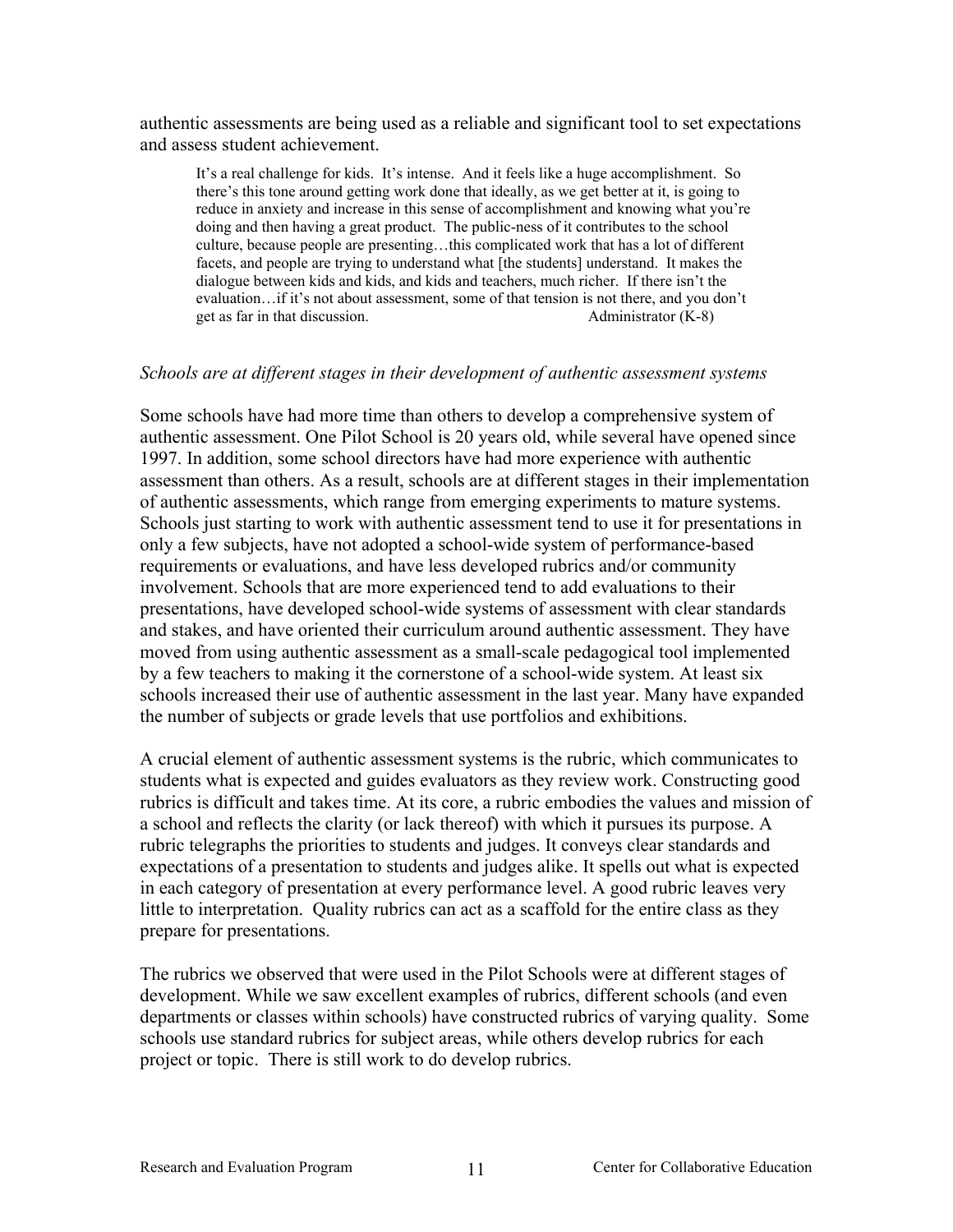<span id="page-14-0"></span>authentic assessments are being used as a reliable and significant tool to set expectations and assess student achievement.

It's a real challenge for kids. It's intense. And it feels like a huge accomplishment. So there's this tone around getting work done that ideally, as we get better at it, is going to reduce in anxiety and increase in this sense of accomplishment and knowing what you're doing and then having a great product. The public-ness of it contributes to the school culture, because people are presenting…this complicated work that has a lot of different facets, and people are trying to understand what [the students] understand. It makes the dialogue between kids and kids, and kids and teachers, much richer. If there isn't the evaluation…if it's not about assessment, some of that tension is not there, and you don't get as far in that discussion. Administrator (K-8)

#### *Schools are at different stages in their development of authentic assessment systems*

Some schools have had more time than others to develop a comprehensive system of authentic assessment. One Pilot School is 20 years old, while several have opened since 1997. In addition, some school directors have had more experience with authentic assessment than others. As a result, schools are at different stages in their implementation of authentic assessments, which range from emerging experiments to mature systems. Schools just starting to work with authentic assessment tend to use it for presentations in only a few subjects, have not adopted a school-wide system of performance-based requirements or evaluations, and have less developed rubrics and/or community involvement. Schools that are more experienced tend to add evaluations to their presentations, have developed school-wide systems of assessment with clear standards and stakes, and have oriented their curriculum around authentic assessment. They have moved from using authentic assessment as a small-scale pedagogical tool implemented by a few teachers to making it the cornerstone of a school-wide system. At least six schools increased their use of authentic assessment in the last year. Many have expanded the number of subjects or grade levels that use portfolios and exhibitions.

A crucial element of authentic assessment systems is the rubric, which communicates to students what is expected and guides evaluators as they review work. Constructing good rubrics is difficult and takes time. At its core, a rubric embodies the values and mission of a school and reflects the clarity (or lack thereof) with which it pursues its purpose. A rubric telegraphs the priorities to students and judges. It conveys clear standards and expectations of a presentation to students and judges alike. It spells out what is expected in each category of presentation at every performance level. A good rubric leaves very little to interpretation. Quality rubrics can act as a scaffold for the entire class as they prepare for presentations.

The rubrics we observed that were used in the Pilot Schools were at different stages of development. While we saw excellent examples of rubrics, different schools (and even departments or classes within schools) have constructed rubrics of varying quality. Some schools use standard rubrics for subject areas, while others develop rubrics for each project or topic. There is still work to do develop rubrics.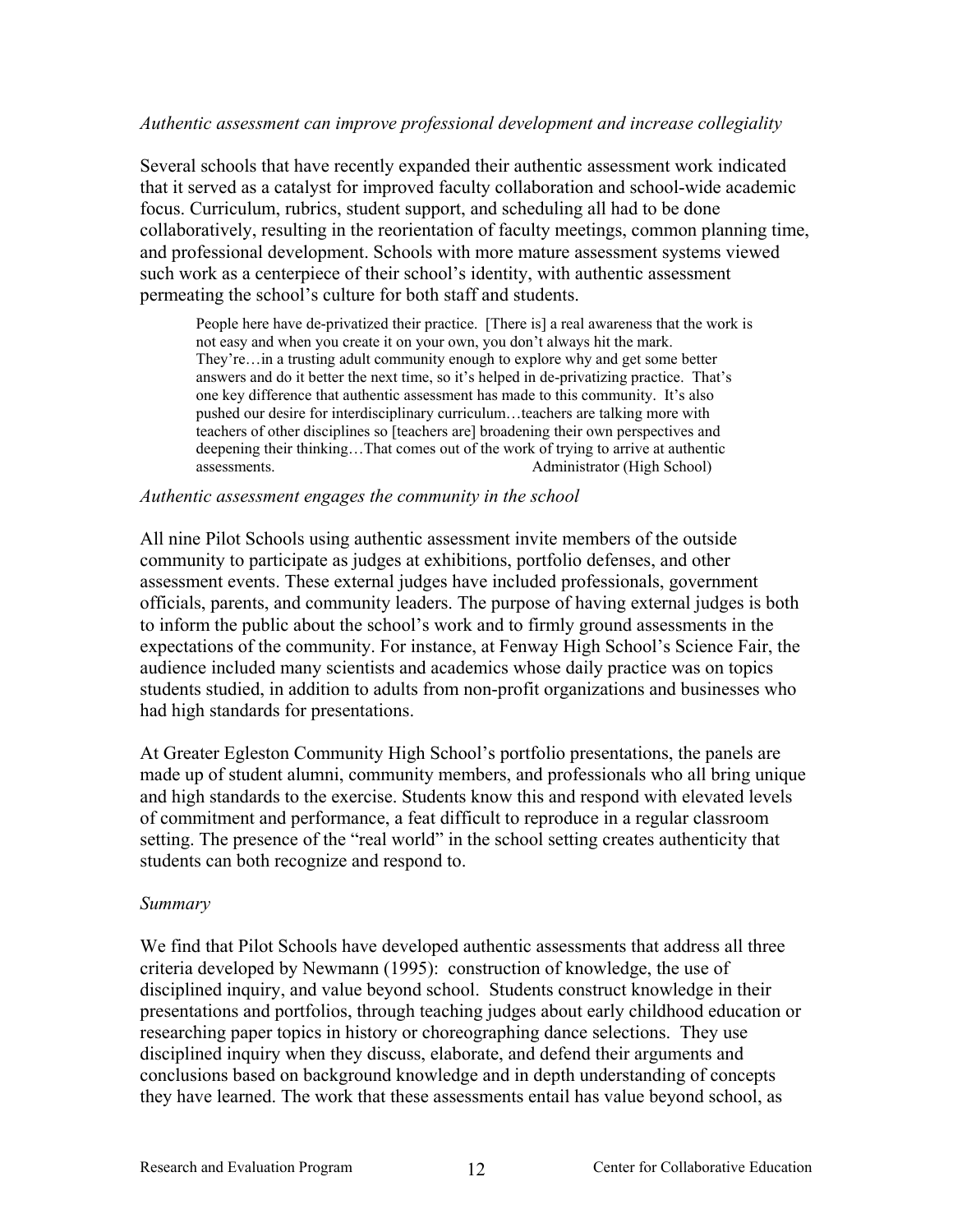### <span id="page-15-0"></span>*Authentic assessment can improve professional development and increase collegiality*

Several schools that have recently expanded their authentic assessment work indicated that it served as a catalyst for improved faculty collaboration and school-wide academic focus. Curriculum, rubrics, student support, and scheduling all had to be done collaboratively, resulting in the reorientation of faculty meetings, common planning time, and professional development. Schools with more mature assessment systems viewed such work as a centerpiece of their school's identity, with authentic assessment permeating the school's culture for both staff and students.

People here have de-privatized their practice. [There is] a real awareness that the work is not easy and when you create it on your own, you don't always hit the mark. They're…in a trusting adult community enough to explore why and get some better answers and do it better the next time, so it's helped in de-privatizing practice. That's one key difference that authentic assessment has made to this community. It's also pushed our desire for interdisciplinary curriculum…teachers are talking more with teachers of other disciplines so [teachers are] broadening their own perspectives and deepening their thinking…That comes out of the work of trying to arrive at authentic assessments. Administrator (High School)

#### *Authentic assessment engages the community in the school*

All nine Pilot Schools using authentic assessment invite members of the outside community to participate as judges at exhibitions, portfolio defenses, and other assessment events. These external judges have included professionals, government officials, parents, and community leaders. The purpose of having external judges is both to inform the public about the school's work and to firmly ground assessments in the expectations of the community. For instance, at Fenway High School's Science Fair, the audience included many scientists and academics whose daily practice was on topics students studied, in addition to adults from non-profit organizations and businesses who had high standards for presentations.

At Greater Egleston Community High School's portfolio presentations, the panels are made up of student alumni, community members, and professionals who all bring unique and high standards to the exercise. Students know this and respond with elevated levels of commitment and performance, a feat difficult to reproduce in a regular classroom setting. The presence of the "real world" in the school setting creates authenticity that students can both recognize and respond to.

### *Summary*

We find that Pilot Schools have developed authentic assessments that address all three criteria developed by Newmann (1995): construction of knowledge, the use of disciplined inquiry, and value beyond school. Students construct knowledge in their presentations and portfolios, through teaching judges about early childhood education or researching paper topics in history or choreographing dance selections. They use disciplined inquiry when they discuss, elaborate, and defend their arguments and conclusions based on background knowledge and in depth understanding of concepts they have learned. The work that these assessments entail has value beyond school, as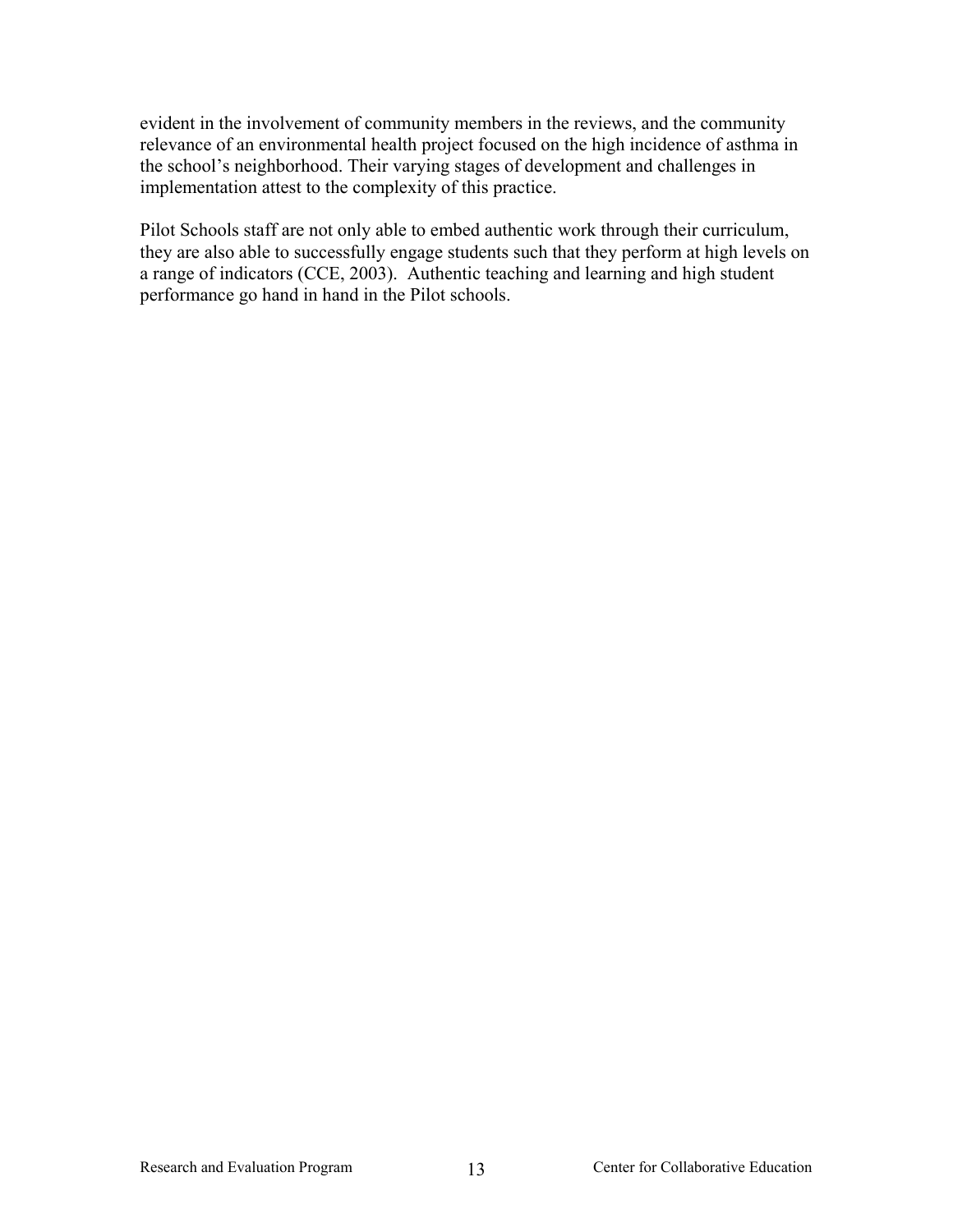evident in the involvement of community members in the reviews, and the community relevance of an environmental health project focused on the high incidence of asthma in the school's neighborhood. Their varying stages of development and challenges in implementation attest to the complexity of this practice.

Pilot Schools staff are not only able to embed authentic work through their curriculum, they are also able to successfully engage students such that they perform at high levels on a range of indicators (CCE, 2003). Authentic teaching and learning and high student performance go hand in hand in the Pilot schools.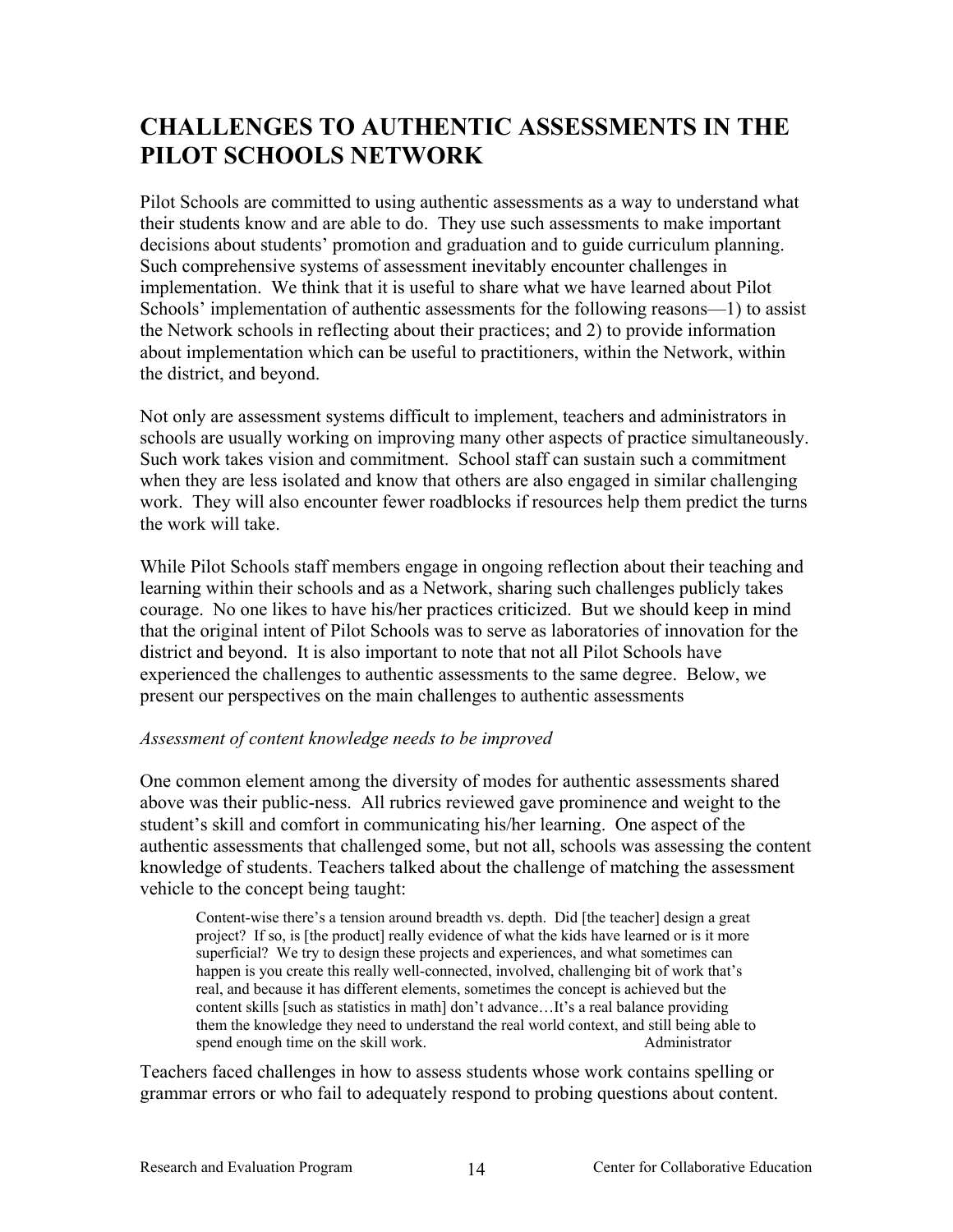# <span id="page-17-0"></span>**CHALLENGES TO AUTHENTIC ASSESSMENTS IN THE PILOT SCHOOLS NETWORK**

Pilot Schools are committed to using authentic assessments as a way to understand what their students know and are able to do. They use such assessments to make important decisions about students' promotion and graduation and to guide curriculum planning. Such comprehensive systems of assessment inevitably encounter challenges in implementation. We think that it is useful to share what we have learned about Pilot Schools' implementation of authentic assessments for the following reasons—1) to assist the Network schools in reflecting about their practices; and 2) to provide information about implementation which can be useful to practitioners, within the Network, within the district, and beyond.

Not only are assessment systems difficult to implement, teachers and administrators in schools are usually working on improving many other aspects of practice simultaneously. Such work takes vision and commitment. School staff can sustain such a commitment when they are less isolated and know that others are also engaged in similar challenging work. They will also encounter fewer roadblocks if resources help them predict the turns the work will take.

While Pilot Schools staff members engage in ongoing reflection about their teaching and learning within their schools and as a Network, sharing such challenges publicly takes courage. No one likes to have his/her practices criticized. But we should keep in mind that the original intent of Pilot Schools was to serve as laboratories of innovation for the district and beyond. It is also important to note that not all Pilot Schools have experienced the challenges to authentic assessments to the same degree. Below, we present our perspectives on the main challenges to authentic assessments

## *Assessment of content knowledge needs to be improved*

One common element among the diversity of modes for authentic assessments shared above was their public-ness. All rubrics reviewed gave prominence and weight to the student's skill and comfort in communicating his/her learning. One aspect of the authentic assessments that challenged some, but not all, schools was assessing the content knowledge of students. Teachers talked about the challenge of matching the assessment vehicle to the concept being taught:

Content-wise there's a tension around breadth vs. depth. Did [the teacher] design a great project? If so, is [the product] really evidence of what the kids have learned or is it more superficial? We try to design these projects and experiences, and what sometimes can happen is you create this really well-connected, involved, challenging bit of work that's real, and because it has different elements, sometimes the concept is achieved but the content skills [such as statistics in math] don't advance…It's a real balance providing them the knowledge they need to understand the real world context, and still being able to spend enough time on the skill work. Administrator

Teachers faced challenges in how to assess students whose work contains spelling or grammar errors or who fail to adequately respond to probing questions about content.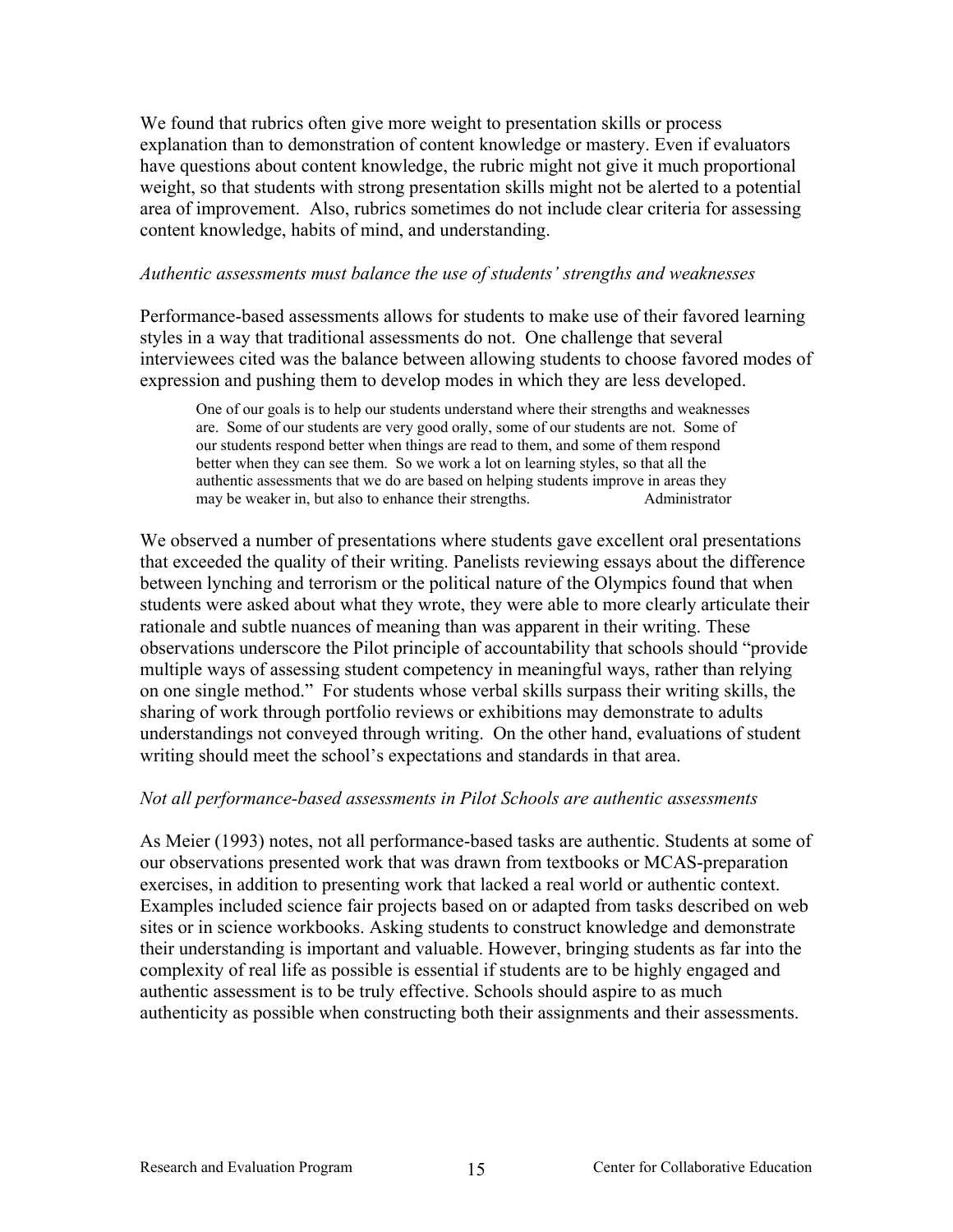<span id="page-18-0"></span>We found that rubrics often give more weight to presentation skills or process explanation than to demonstration of content knowledge or mastery. Even if evaluators have questions about content knowledge, the rubric might not give it much proportional weight, so that students with strong presentation skills might not be alerted to a potential area of improvement. Also, rubrics sometimes do not include clear criteria for assessing content knowledge, habits of mind, and understanding.

### *Authentic assessments must balance the use of students' strengths and weaknesses*

Performance-based assessments allows for students to make use of their favored learning styles in a way that traditional assessments do not. One challenge that several interviewees cited was the balance between allowing students to choose favored modes of expression and pushing them to develop modes in which they are less developed.

One of our goals is to help our students understand where their strengths and weaknesses are. Some of our students are very good orally, some of our students are not. Some of our students respond better when things are read to them, and some of them respond better when they can see them. So we work a lot on learning styles, so that all the authentic assessments that we do are based on helping students improve in areas they may be weaker in, but also to enhance their strengths. Administrator

We observed a number of presentations where students gave excellent oral presentations that exceeded the quality of their writing. Panelists reviewing essays about the difference between lynching and terrorism or the political nature of the Olympics found that when students were asked about what they wrote, they were able to more clearly articulate their rationale and subtle nuances of meaning than was apparent in their writing. These observations underscore the Pilot principle of accountability that schools should "provide multiple ways of assessing student competency in meaningful ways, rather than relying on one single method." For students whose verbal skills surpass their writing skills, the sharing of work through portfolio reviews or exhibitions may demonstrate to adults understandings not conveyed through writing.On the other hand, evaluations of student writing should meet the school's expectations and standards in that area.

### *Not all performance-based assessments in Pilot Schools are authentic assessments*

As Meier (1993) notes, not all performance-based tasks are authentic. Students at some of our observations presented work that was drawn from textbooks or MCAS-preparation exercises, in addition to presenting work that lacked a real world or authentic context. Examples included science fair projects based on or adapted from tasks described on web sites or in science workbooks. Asking students to construct knowledge and demonstrate their understanding is important and valuable. However, bringing students as far into the complexity of real life as possible is essential if students are to be highly engaged and authentic assessment is to be truly effective. Schools should aspire to as much authenticity as possible when constructing both their assignments and their assessments.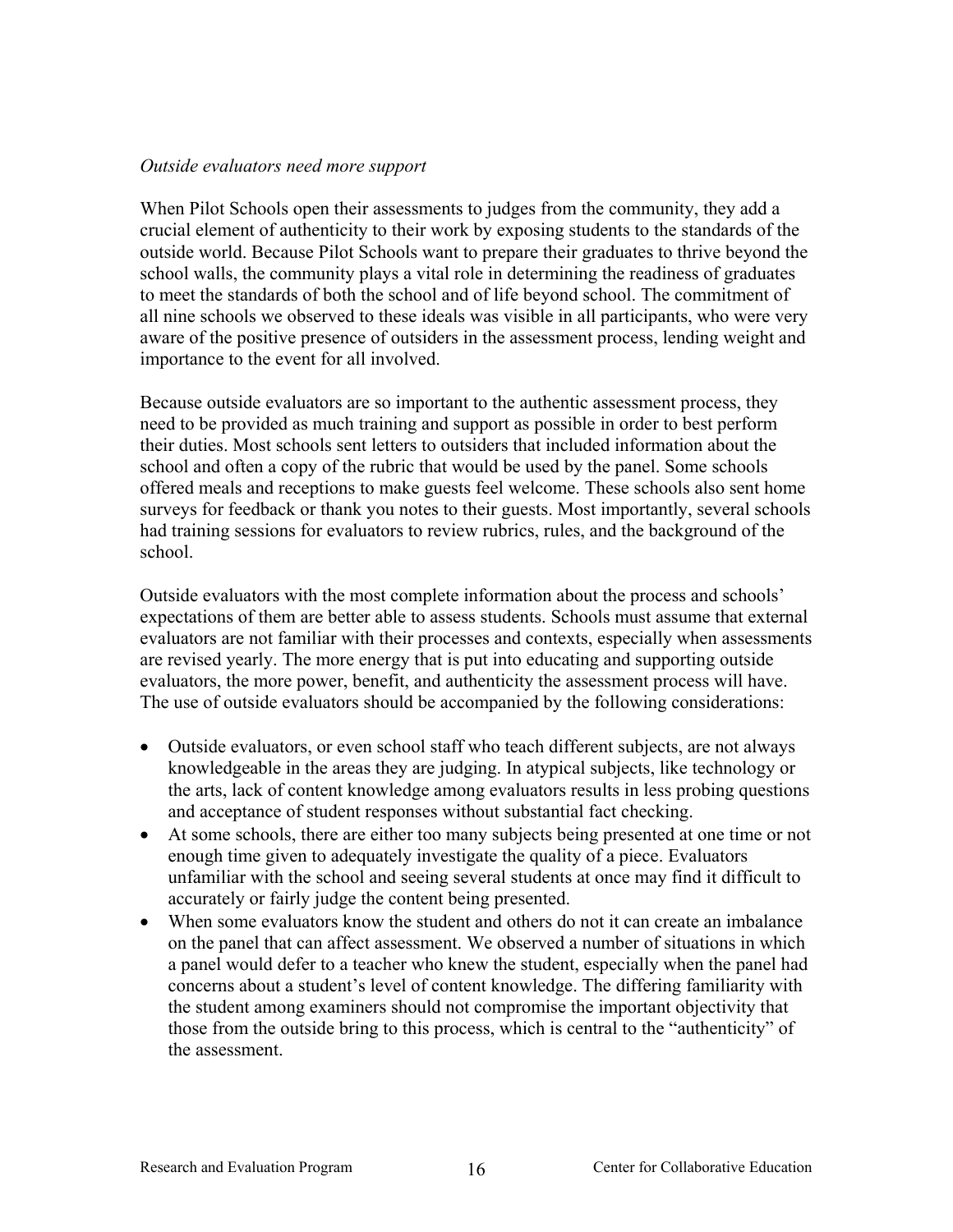### <span id="page-19-0"></span>*Outside evaluators need more support*

When Pilot Schools open their assessments to judges from the community, they add a crucial element of authenticity to their work by exposing students to the standards of the outside world. Because Pilot Schools want to prepare their graduates to thrive beyond the school walls, the community plays a vital role in determining the readiness of graduates to meet the standards of both the school and of life beyond school. The commitment of all nine schools we observed to these ideals was visible in all participants, who were very aware of the positive presence of outsiders in the assessment process, lending weight and importance to the event for all involved.

Because outside evaluators are so important to the authentic assessment process, they need to be provided as much training and support as possible in order to best perform their duties. Most schools sent letters to outsiders that included information about the school and often a copy of the rubric that would be used by the panel. Some schools offered meals and receptions to make guests feel welcome. These schools also sent home surveys for feedback or thank you notes to their guests. Most importantly, several schools had training sessions for evaluators to review rubrics, rules, and the background of the school.

Outside evaluators with the most complete information about the process and schools' expectations of them are better able to assess students. Schools must assume that external evaluators are not familiar with their processes and contexts, especially when assessments are revised yearly. The more energy that is put into educating and supporting outside evaluators, the more power, benefit, and authenticity the assessment process will have. The use of outside evaluators should be accompanied by the following considerations:

- Outside evaluators, or even school staff who teach different subjects, are not always knowledgeable in the areas they are judging. In atypical subjects, like technology or the arts, lack of content knowledge among evaluators results in less probing questions and acceptance of student responses without substantial fact checking.
- $\bullet$ At some schools, there are either too many subjects being presented at one time or not enough time given to adequately investigate the quality of a piece. Evaluators unfamiliar with the school and seeing several students at once may find it difficult to accurately or fairly judge the content being presented.
- When some evaluators know the student and others do not it can create an imbalance on the panel that can affect assessment. We observed a number of situations in which a panel would defer to a teacher who knew the student, especially when the panel had concerns about a student's level of content knowledge. The differing familiarity with the student among examiners should not compromise the important objectivity that those from the outside bring to this process, which is central to the "authenticity" of the assessment.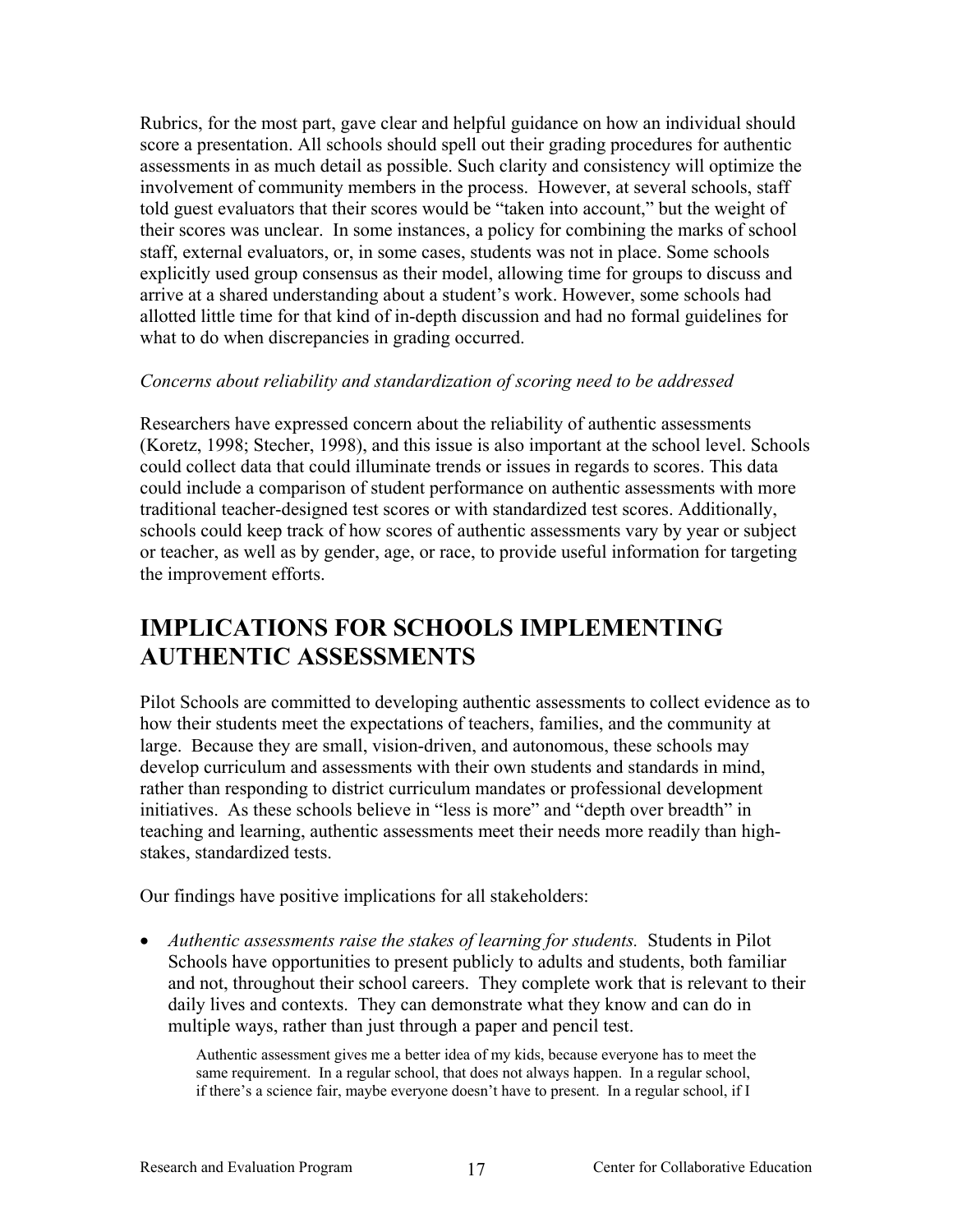<span id="page-20-0"></span>Rubrics, for the most part, gave clear and helpful guidance on how an individual should score a presentation. All schools should spell out their grading procedures for authentic assessments in as much detail as possible. Such clarity and consistency will optimize the involvement of community members in the process. However, at several schools, staff told guest evaluators that their scores would be "taken into account," but the weight of their scores was unclear. In some instances, a policy for combining the marks of school staff, external evaluators, or, in some cases, students was not in place. Some schools explicitly used group consensus as their model, allowing time for groups to discuss and arrive at a shared understanding about a student's work. However, some schools had allotted little time for that kind of in-depth discussion and had no formal guidelines for what to do when discrepancies in grading occurred.

## *Concerns about reliability and standardization of scoring need to be addressed*

Researchers have expressed concern about the reliability of authentic assessments (Koretz, 1998; Stecher, 1998), and this issue is also important at the school level. Schools could collect data that could illuminate trends or issues in regards to scores. This data could include a comparison of student performance on authentic assessments with more traditional teacher-designed test scores or with standardized test scores. Additionally, schools could keep track of how scores of authentic assessments vary by year or subject or teacher, as well as by gender, age, or race, to provide useful information for targeting the improvement efforts.

# **IMPLICATIONS FOR SCHOOLS IMPLEMENTING AUTHENTIC ASSESSMENTS**

Pilot Schools are committed to developing authentic assessments to collect evidence as to how their students meet the expectations of teachers, families, and the community at large. Because they are small, vision-driven, and autonomous, these schools may develop curriculum and assessments with their own students and standards in mind, rather than responding to district curriculum mandates or professional development initiatives. As these schools believe in "less is more" and "depth over breadth" in teaching and learning, authentic assessments meet their needs more readily than highstakes, standardized tests.

Our findings have positive implications for all stakeholders:

• Authentic assessments raise the stakes of learning for students. Students in Pilot Schools have opportunities to present publicly to adults and students, both familiar and not, throughout their school careers. They complete work that is relevant to their daily lives and contexts. They can demonstrate what they know and can do in multiple ways, rather than just through a paper and pencil test.

Authentic assessment gives me a better idea of my kids, because everyone has to meet the same requirement. In a regular school, that does not always happen. In a regular school, if there's a science fair, maybe everyone doesn't have to present. In a regular school, if I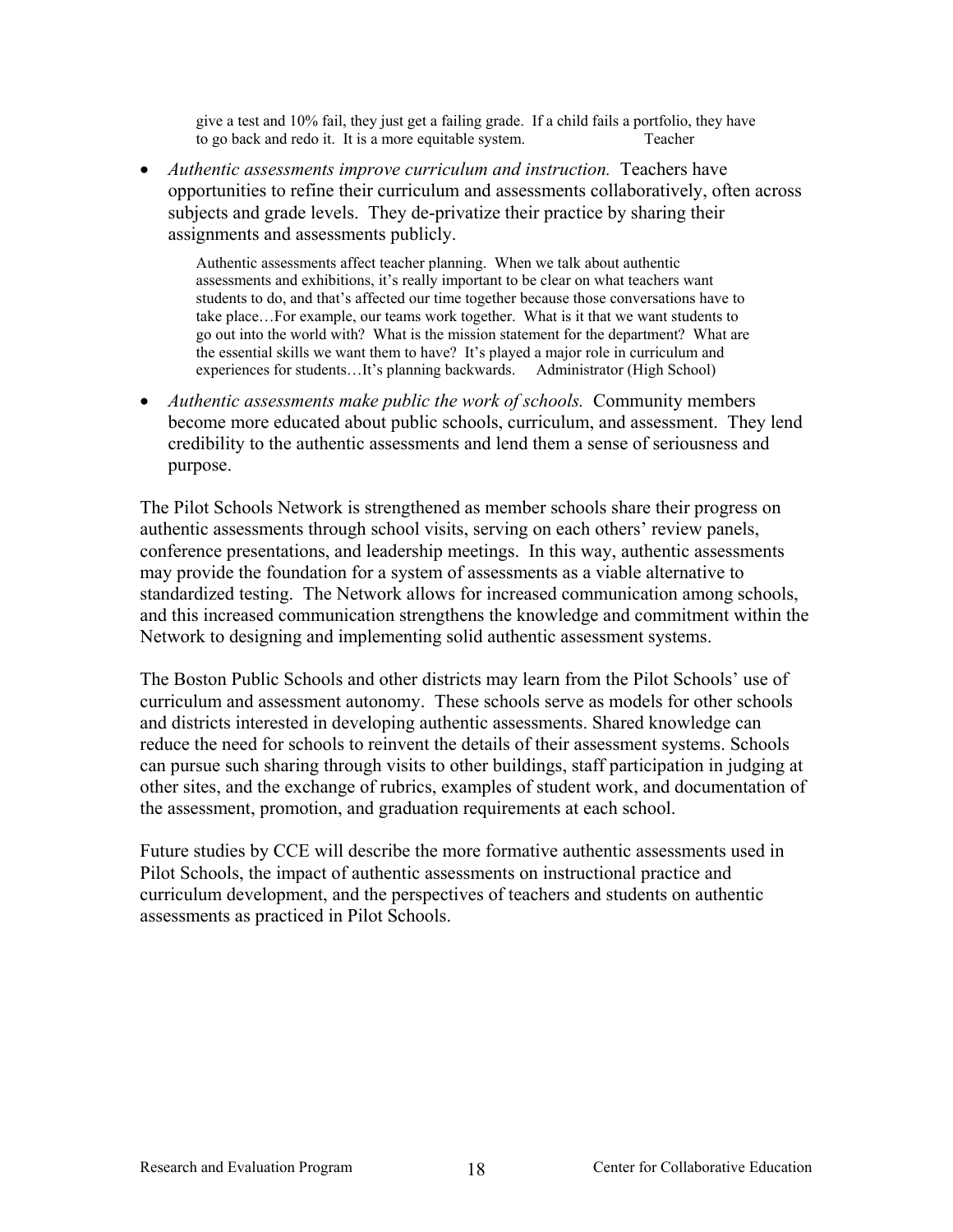give a test and 10% fail, they just get a failing grade. If a child fails a portfolio, they have to go back and redo it. It is a more equitable system. Teacher

*Authentic assessments improve curriculum and instruction.* Teachers have • opportunities to refine their curriculum and assessments collaboratively, often across subjects and grade levels. They de-privatize their practice by sharing their assignments and assessments publicly.

Authentic assessments affect teacher planning. When we talk about authentic assessments and exhibitions, it's really important to be clear on what teachers want students to do, and that's affected our time together because those conversations have to take place…For example, our teams work together. What is it that we want students to go out into the world with? What is the mission statement for the department? What are the essential skills we want them to have? It's played a major role in curriculum and experiences for students…It's planning backwards. Administrator (High School)

• *Authentic assessments make public the work of schools.* Community members become more educated about public schools, curriculum, and assessment. They lend credibility to the authentic assessments and lend them a sense of seriousness and purpose.

The Pilot Schools Network is strengthened as member schools share their progress on authentic assessments through school visits, serving on each others' review panels, conference presentations, and leadership meetings. In this way, authentic assessments may provide the foundation for a system of assessments as a viable alternative to standardized testing. The Network allows for increased communication among schools, and this increased communication strengthens the knowledge and commitment within the Network to designing and implementing solid authentic assessment systems.

The Boston Public Schools and other districts may learn from the Pilot Schools' use of curriculum and assessment autonomy. These schools serve as models for other schools and districts interested in developing authentic assessments. Shared knowledge can reduce the need for schools to reinvent the details of their assessment systems. Schools can pursue such sharing through visits to other buildings, staff participation in judging at other sites, and the exchange of rubrics, examples of student work, and documentation of the assessment, promotion, and graduation requirements at each school.

Future studies by CCE will describe the more formative authentic assessments used in Pilot Schools, the impact of authentic assessments on instructional practice and curriculum development, and the perspectives of teachers and students on authentic assessments as practiced in Pilot Schools.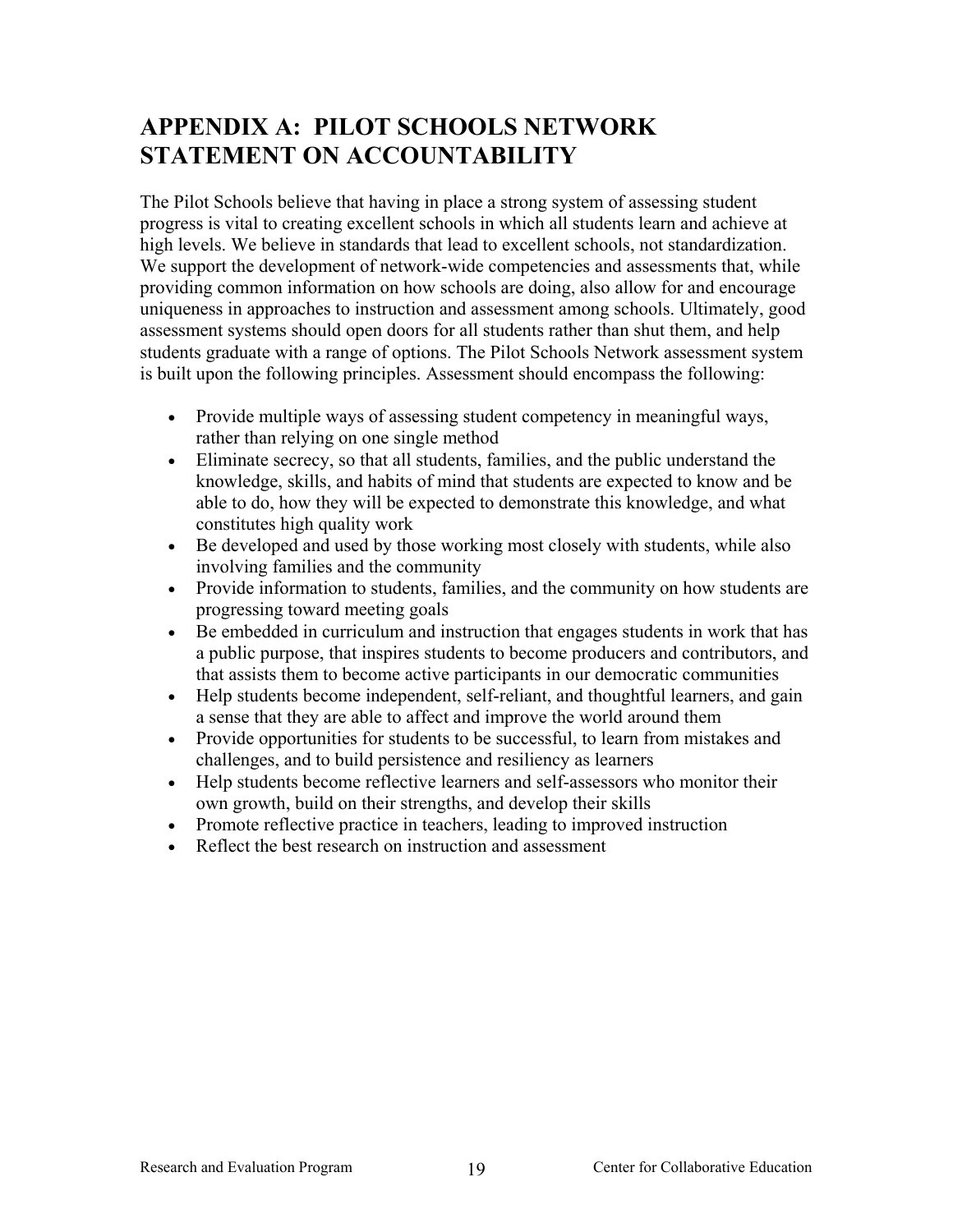# <span id="page-22-0"></span>**APPENDIX A: PILOT SCHOOLS NETWORK STATEMENT ON ACCOUNTABILITY**

The Pilot Schools believe that having in place a strong system of assessing student progress is vital to creating excellent schools in which all students learn and achieve at high levels. We believe in standards that lead to excellent schools, not standardization. We support the development of network-wide competencies and assessments that, while providing common information on how schools are doing, also allow for and encourage uniqueness in approaches to instruction and assessment among schools. Ultimately, good assessment systems should open doors for all students rather than shut them, and help students graduate with a range of options. The Pilot Schools Network assessment system is built upon the following principles. Assessment should encompass the following:

- Provide multiple ways of assessing student competency in meaningful ways, rather than relying on one single method
- Eliminate secrecy, so that all students, families, and the public understand the knowledge, skills, and habits of mind that students are expected to know and be able to do, how they will be expected to demonstrate this knowledge, and what constitutes high quality work
- Be developed and used by those working most closely with students, while also involving families and the community
- Provide information to students, families, and the community on how students are progressing toward meeting goals
- Be embedded in curriculum and instruction that engages students in work that has a public purpose, that inspires students to become producers and contributors, and that assists them to become active participants in our democratic communities
- Help students become independent, self-reliant, and thoughtful learners, and gain a sense that they are able to affect and improve the world around them
- Provide opportunities for students to be successful, to learn from mistakes and challenges, and to build persistence and resiliency as learners
- Help students become reflective learners and self-assessors who monitor their own growth, build on their strengths, and develop their skills
- Promote reflective practice in teachers, leading to improved instruction
- Reflect the best research on instruction and assessment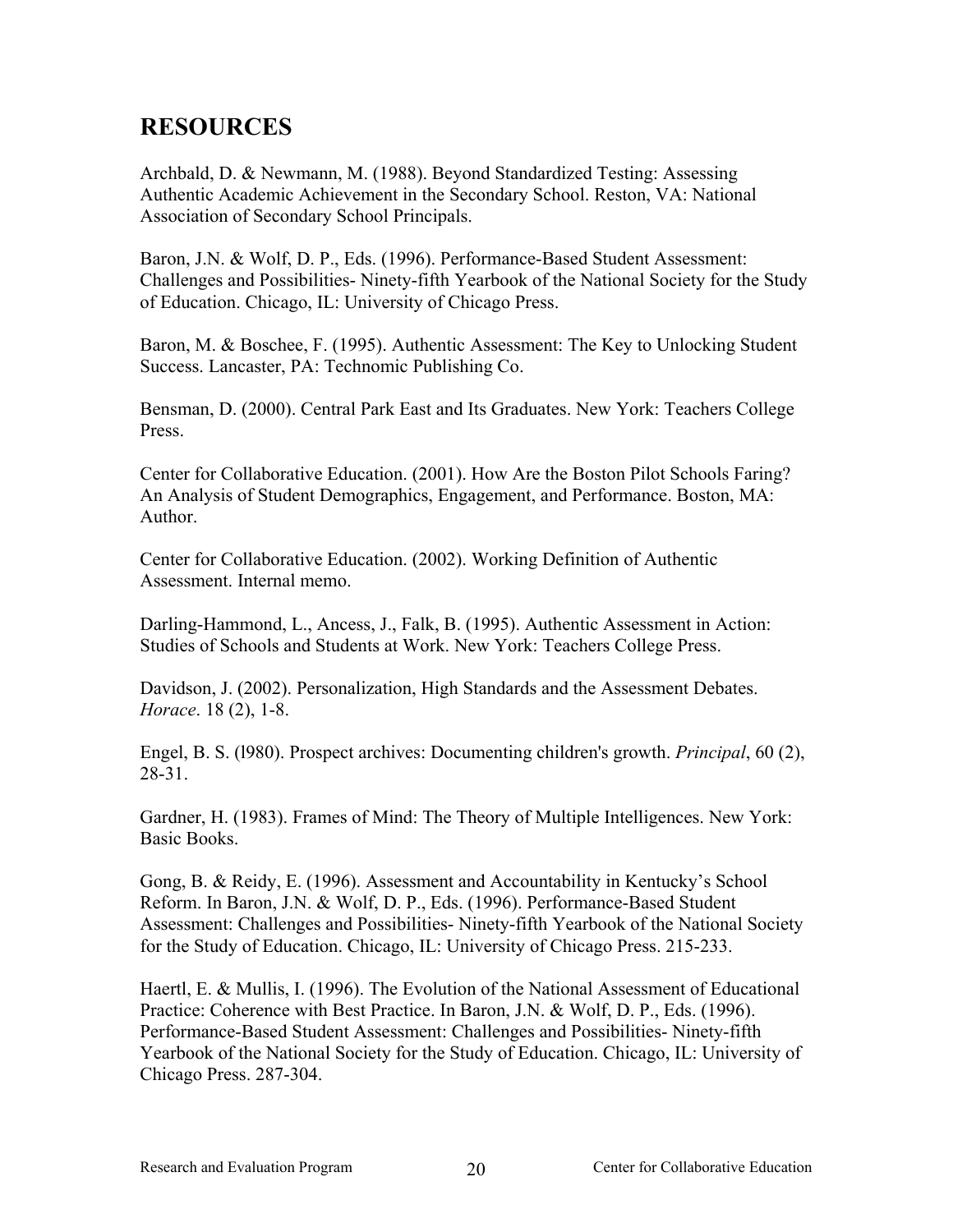# <span id="page-23-0"></span>**RESOURCES**

Archbald, D. & Newmann, M. (1988). Beyond Standardized Testing: Assessing Authentic Academic Achievement in the Secondary School. Reston, VA: National Association of Secondary School Principals.

Baron, J.N. & Wolf, D. P., Eds. (1996). Performance-Based Student Assessment: Challenges and Possibilities- Ninety-fifth Yearbook of the National Society for the Study of Education. Chicago, IL: University of Chicago Press.

Baron, M. & Boschee, F. (1995). Authentic Assessment: The Key to Unlocking Student Success. Lancaster, PA: Technomic Publishing Co.

Bensman, D. (2000). Central Park East and Its Graduates. New York: Teachers College Press.

Center for Collaborative Education. (2001). How Are the Boston Pilot Schools Faring? An Analysis of Student Demographics, Engagement, and Performance. Boston, MA: Author.

Center for Collaborative Education. (2002). Working Definition of Authentic Assessment. Internal memo.

Darling-Hammond, L., Ancess, J., Falk, B. (1995). Authentic Assessment in Action: Studies of Schools and Students at Work. New York: Teachers College Press.

Davidson, J. (2002). Personalization, High Standards and the Assessment Debates. *Horace*. 18 (2), 1-8.

Engel, B. S. (l980). Prospect archives: Documenting children's growth. *Principal*, 60 (2), 28-31.

Gardner, H. (1983). Frames of Mind: The Theory of Multiple Intelligences. New York: Basic Books.

Gong, B. & Reidy, E. (1996). Assessment and Accountability in Kentucky's School Reform. In Baron, J.N. & Wolf, D. P., Eds. (1996). Performance-Based Student Assessment: Challenges and Possibilities- Ninety-fifth Yearbook of the National Society for the Study of Education. Chicago, IL: University of Chicago Press. 215-233.

Haertl, E. & Mullis, I. (1996). The Evolution of the National Assessment of Educational Practice: Coherence with Best Practice. In Baron, J.N. & Wolf, D. P., Eds. (1996). Performance-Based Student Assessment: Challenges and Possibilities- Ninety-fifth Yearbook of the National Society for the Study of Education. Chicago, IL: University of Chicago Press. 287-304.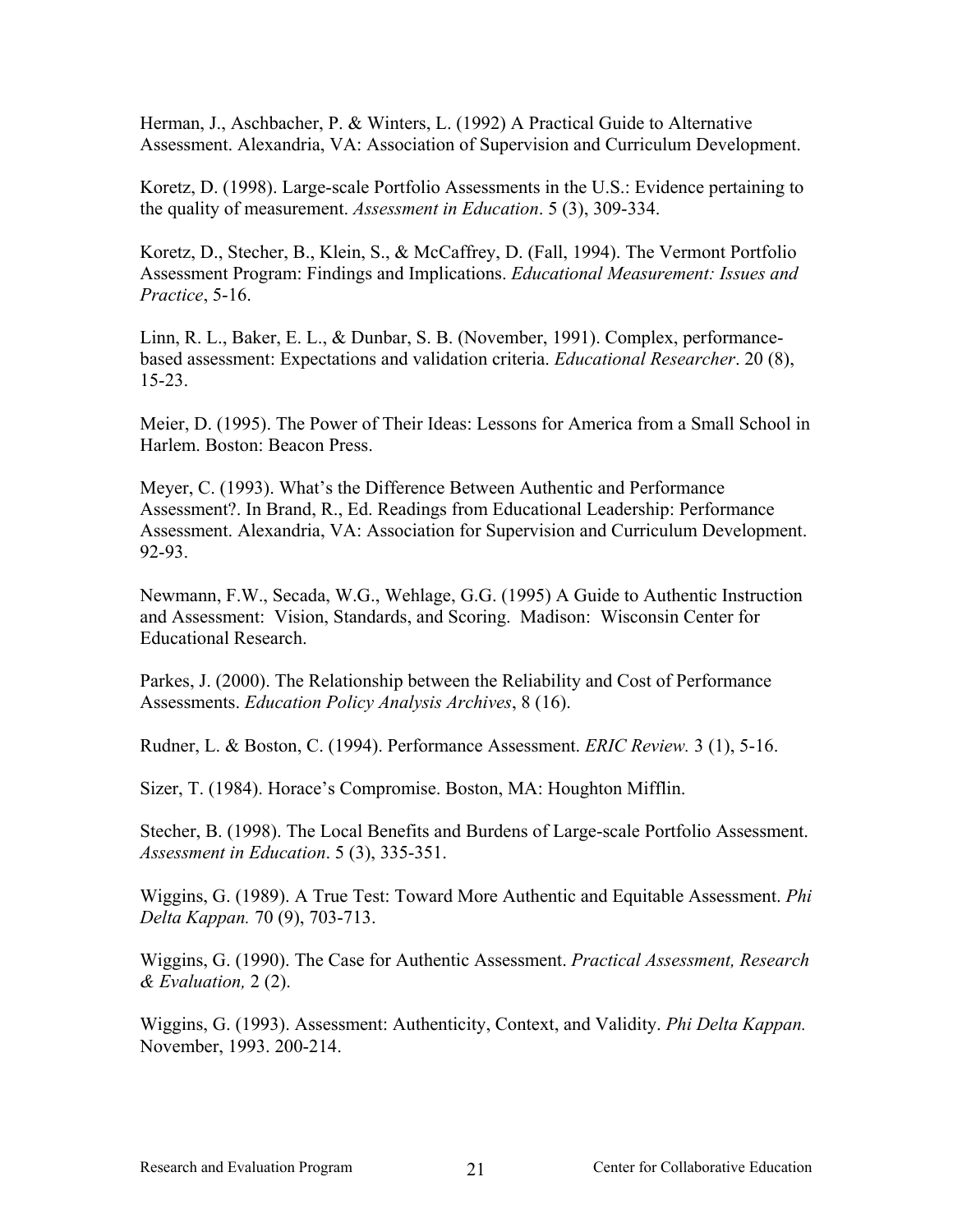Herman, J., Aschbacher, P. & Winters, L. (1992) A Practical Guide to Alternative Assessment. Alexandria, VA: Association of Supervision and Curriculum Development.

Koretz, D. (1998). Large-scale Portfolio Assessments in the U.S.: Evidence pertaining to the quality of measurement. *Assessment in Education*. 5 (3), 309-334.

Koretz, D., Stecher, B., Klein, S., & McCaffrey, D. (Fall, 1994). The Vermont Portfolio Assessment Program: Findings and Implications. *Educational Measurement: Issues and Practice*, 5-16.

Linn, R. L., Baker, E. L., & Dunbar, S. B. (November, 1991). Complex, performancebased assessment: Expectations and validation criteria. *Educational Researcher*. 20 (8), 15-23.

Meier, D. (1995). The Power of Their Ideas: Lessons for America from a Small School in Harlem. Boston: Beacon Press.

Meyer, C. (1993). What's the Difference Between Authentic and Performance Assessment?. In Brand, R., Ed. Readings from Educational Leadership: Performance Assessment. Alexandria, VA: Association for Supervision and Curriculum Development. 92-93.

Newmann, F.W., Secada, W.G., Wehlage, G.G. (1995) A Guide to Authentic Instruction and Assessment: Vision, Standards, and Scoring. Madison: Wisconsin Center for Educational Research.

Parkes, J. (2000). The Relationship between the Reliability and Cost of Performance Assessments. *Education Policy Analysis Archives*, 8 (16).

Rudner, L. & Boston, C. (1994). Performance Assessment. *ERIC Review.* 3 (1), 5-16.

Sizer, T. (1984). Horace's Compromise. Boston, MA: Houghton Mifflin.

Stecher, B. (1998). The Local Benefits and Burdens of Large-scale Portfolio Assessment. *Assessment in Education*. 5 (3), 335-351.

Wiggins, G. (1989). A True Test: Toward More Authentic and Equitable Assessment. *Phi Delta Kappan.* 70 (9), 703-713.

Wiggins, G. (1990). The Case for Authentic Assessment. *Practical Assessment, Research & Evaluation,* 2 (2).

Wiggins, G. (1993). Assessment: Authenticity, Context, and Validity. *Phi Delta Kappan.* November, 1993. 200-214.